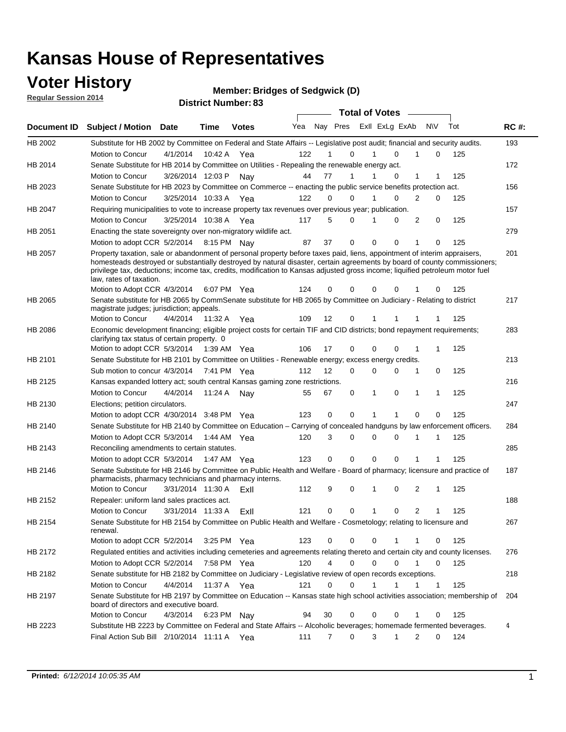### **Voter History**

**Regular Session 2014**

**Bridges of Sedgwick (D)**

|                |                                                                                                                                                                                                                                                                                                                                                                                                                                                              |                       |             | <b>DISUILLINUIIIDEL.</b> 00 |     |    |                               | <b>Total of Votes</b> |                |                |              |     |             |
|----------------|--------------------------------------------------------------------------------------------------------------------------------------------------------------------------------------------------------------------------------------------------------------------------------------------------------------------------------------------------------------------------------------------------------------------------------------------------------------|-----------------------|-------------|-----------------------------|-----|----|-------------------------------|-----------------------|----------------|----------------|--------------|-----|-------------|
| Document ID    | <b>Subject / Motion Date</b>                                                                                                                                                                                                                                                                                                                                                                                                                                 |                       | Time        | <b>Votes</b>                | Yea |    | Nay Pres                      |                       | Exll ExLg ExAb | N\V            |              | Tot | <b>RC#:</b> |
| HB 2002        | Substitute for HB 2002 by Committee on Federal and State Affairs -- Legislative post audit; financial and security audits.                                                                                                                                                                                                                                                                                                                                   |                       |             |                             |     |    |                               |                       |                |                |              |     | 193         |
|                | Motion to Concur                                                                                                                                                                                                                                                                                                                                                                                                                                             | 4/1/2014              | 10:42 A     | Yea                         | 122 |    | 0                             | 1                     | $\Omega$       |                | 0            | 125 |             |
| HB 2014        | Senate Substitute for HB 2014 by Committee on Utilities - Repealing the renewable energy act.                                                                                                                                                                                                                                                                                                                                                                |                       |             |                             |     |    |                               |                       |                |                |              |     | 172         |
|                | Motion to Concur                                                                                                                                                                                                                                                                                                                                                                                                                                             | 3/26/2014 12:03 P     |             | Nay                         | 44  | 77 | 1                             | 1                     | $\Omega$       | 1              | 1            | 125 |             |
| HB 2023        | Senate Substitute for HB 2023 by Committee on Commerce -- enacting the public service benefits protection act.                                                                                                                                                                                                                                                                                                                                               |                       |             |                             |     |    |                               |                       |                |                |              |     | 156         |
|                | Motion to Concur                                                                                                                                                                                                                                                                                                                                                                                                                                             | 3/25/2014 10:33 A Yea |             |                             | 122 |    | 0<br>0                        | 1                     | 0              | 2              | 0            | 125 |             |
| HB 2047        | Requiring municipalities to vote to increase property tax revenues over previous year; publication.                                                                                                                                                                                                                                                                                                                                                          |                       |             |                             |     |    |                               |                       |                |                |              |     | 157         |
|                | Motion to Concur                                                                                                                                                                                                                                                                                                                                                                                                                                             | 3/25/2014 10:38 A Yea |             |                             | 117 |    | 5<br>0                        |                       | 0              | 2              | 0            | 125 |             |
| HB 2051        | Enacting the state sovereignty over non-migratory wildlife act.                                                                                                                                                                                                                                                                                                                                                                                              |                       |             |                             |     |    |                               |                       |                |                |              |     | 279         |
|                | Motion to adopt CCR 5/2/2014 8:15 PM Nay                                                                                                                                                                                                                                                                                                                                                                                                                     |                       |             |                             | 87  | 37 | 0                             | 0                     | 0              | 1              | 0            | 125 |             |
| HB 2057        | Property taxation, sale or abandonment of personal property before taxes paid, liens, appointment of interim appraisers,<br>homesteads destroyed or substantially destroyed by natural disaster, certain agreements by board of county commissioners;<br>privilege tax, deductions; income tax, credits, modification to Kansas adjusted gross income; liquified petroleum motor fuel<br>law, rates of taxation.<br>Motion to Adopt CCR 4/3/2014 6:07 PM Yea |                       |             |                             | 124 |    | 0<br>0                        | 0                     | 0              |                | 0            | 125 | 201         |
|                | Senate substitute for HB 2065 by CommSenate substitute for HB 2065 by Committee on Judiciary - Relating to district                                                                                                                                                                                                                                                                                                                                          |                       |             |                             |     |    |                               |                       |                |                |              |     | 217         |
| HB 2065        | magistrate judges; jurisdiction; appeals.                                                                                                                                                                                                                                                                                                                                                                                                                    |                       |             |                             |     |    |                               |                       |                |                |              |     |             |
|                | Motion to Concur                                                                                                                                                                                                                                                                                                                                                                                                                                             | 4/4/2014              | 11:32 A     | Yea                         | 109 | 12 | 0                             | 1                     | 1              |                |              | 125 |             |
| <b>HB 2086</b> | Economic development financing; eligible project costs for certain TIF and CID districts; bond repayment requirements;<br>clarifying tax status of certain property. 0                                                                                                                                                                                                                                                                                       |                       |             |                             |     |    |                               |                       |                |                |              |     | 283         |
|                | Motion to adopt CCR 5/3/2014                                                                                                                                                                                                                                                                                                                                                                                                                                 |                       | 1:39 AM Yea |                             | 106 | 17 | $\mathbf 0$                   | $\Omega$              | 0              | 1              | 1            | 125 |             |
| HB 2101        | Senate Substitute for HB 2101 by Committee on Utilities - Renewable energy; excess energy credits.                                                                                                                                                                                                                                                                                                                                                           |                       |             |                             |     |    |                               |                       |                |                |              |     | 213         |
|                | Sub motion to concur 4/3/2014                                                                                                                                                                                                                                                                                                                                                                                                                                |                       |             | 7:41 PM Yea                 | 112 | 12 | 0                             | $\mathbf 0$           | 0              | 1              | 0            | 125 |             |
| HB 2125        | Kansas expanded lottery act; south central Kansas gaming zone restrictions.                                                                                                                                                                                                                                                                                                                                                                                  |                       |             |                             |     |    |                               |                       |                |                |              |     | 216         |
|                | Motion to Concur                                                                                                                                                                                                                                                                                                                                                                                                                                             | 4/4/2014              | 11:24 A     | Nav                         | 55  | 67 | 0                             | 1                     | 0              | 1              | 1            | 125 |             |
| HB 2130        | Elections; petition circulators.                                                                                                                                                                                                                                                                                                                                                                                                                             |                       |             |                             |     |    |                               |                       |                |                |              |     | 247         |
|                | Motion to adopt CCR 4/30/2014 3:48 PM Yea                                                                                                                                                                                                                                                                                                                                                                                                                    |                       |             |                             | 123 |    | 0<br>0                        | 1                     | 1              | 0              | 0            | 125 |             |
| HB 2140        | Senate Substitute for HB 2140 by Committee on Education – Carrying of concealed handguns by law enforcement officers.                                                                                                                                                                                                                                                                                                                                        |                       |             |                             |     |    |                               |                       |                |                |              |     | 284         |
|                | Motion to Adopt CCR 5/3/2014                                                                                                                                                                                                                                                                                                                                                                                                                                 |                       |             | 1:44 AM Yea                 | 120 |    | 0<br>3                        | $\mathbf 0$           | $\mathbf 0$    | 1              | 1            | 125 |             |
| HB 2143        | Reconciling amendments to certain statutes.                                                                                                                                                                                                                                                                                                                                                                                                                  |                       |             |                             |     |    |                               |                       |                |                |              |     | 285         |
|                | Motion to adopt CCR 5/3/2014                                                                                                                                                                                                                                                                                                                                                                                                                                 |                       | 1:47 AM Yea |                             | 123 |    | 0<br>0                        | $\mathbf 0$           | 0              | 1              | 1            | 125 |             |
| HB 2146        | Senate Substitute for HB 2146 by Committee on Public Health and Welfare - Board of pharmacy; licensure and practice of<br>pharmacists, pharmacy technicians and pharmacy interns.                                                                                                                                                                                                                                                                            |                       |             |                             |     |    |                               |                       |                |                |              |     | 187         |
|                | Motion to Concur                                                                                                                                                                                                                                                                                                                                                                                                                                             | 3/31/2014 11:30 A     |             | ExII                        | 112 |    | 9<br>0                        | 1                     | 0              | 2              | 1            | 125 |             |
| HB 2152        | Repealer: uniform land sales practices act.                                                                                                                                                                                                                                                                                                                                                                                                                  |                       |             |                             |     |    |                               |                       |                |                |              |     | 188         |
|                | Motion to Concur                                                                                                                                                                                                                                                                                                                                                                                                                                             | 3/31/2014 11:33 A     |             | ExII                        | 121 |    | 0<br>0                        | 1                     | 0              | $\overline{2}$ | 1            | 125 |             |
| HB 2154        | Senate Substitute for HB 2154 by Committee on Public Health and Welfare - Cosmetology; relating to licensure and<br>renewal.                                                                                                                                                                                                                                                                                                                                 |                       |             |                             |     |    |                               |                       |                |                |              |     | 267         |
|                | Motion to adopt CCR 5/2/2014                                                                                                                                                                                                                                                                                                                                                                                                                                 |                       |             | 3:25 PM Yea                 | 123 |    | 0<br>0                        | $\mathbf 0$           | 1              | 1              | 0            | 125 |             |
| HB 2172        | Regulated entities and activities including cemeteries and agreements relating thereto and certain city and county licenses.                                                                                                                                                                                                                                                                                                                                 |                       |             |                             |     |    |                               |                       |                |                |              |     | 276         |
|                | Motion to Adopt CCR 5/2/2014                                                                                                                                                                                                                                                                                                                                                                                                                                 |                       | 7:58 PM Yea |                             | 120 |    | $\overline{4}$<br>$\mathbf 0$ | $\mathbf 0$           | $\Omega$       | 1              | 0            | 125 |             |
| HB 2182        | Senate substitute for HB 2182 by Committee on Judiciary - Legislative review of open records exceptions.                                                                                                                                                                                                                                                                                                                                                     |                       |             |                             |     |    |                               |                       |                |                |              |     | 218         |
|                | Motion to Concur                                                                                                                                                                                                                                                                                                                                                                                                                                             | 4/4/2014              | 11:37 A Yea |                             | 121 |    | $\mathbf 0$<br>0              | 1                     | 1              | 1              | $\mathbf{1}$ | 125 |             |
| HB 2197        | Senate Substitute for HB 2197 by Committee on Education -- Kansas state high school activities association; membership of<br>board of directors and executive board.                                                                                                                                                                                                                                                                                         |                       |             |                             |     |    |                               |                       |                |                |              |     | 204         |
|                | Motion to Concur                                                                                                                                                                                                                                                                                                                                                                                                                                             | 4/3/2014              |             | 6:23 PM Nay                 | 94  | 30 | 0                             | 0                     | 0              | 1              | 0            | 125 |             |
| HB 2223        | Substitute HB 2223 by Committee on Federal and State Affairs -- Alcoholic beverages; homemade fermented beverages.                                                                                                                                                                                                                                                                                                                                           |                       |             |                             |     |    |                               |                       |                |                |              |     | 4           |
|                | Final Action Sub Bill 2/10/2014 11:11 A Yea                                                                                                                                                                                                                                                                                                                                                                                                                  |                       |             |                             | 111 |    | 0<br>7                        | 3                     | 1              | 2              | $\Omega$     | 124 |             |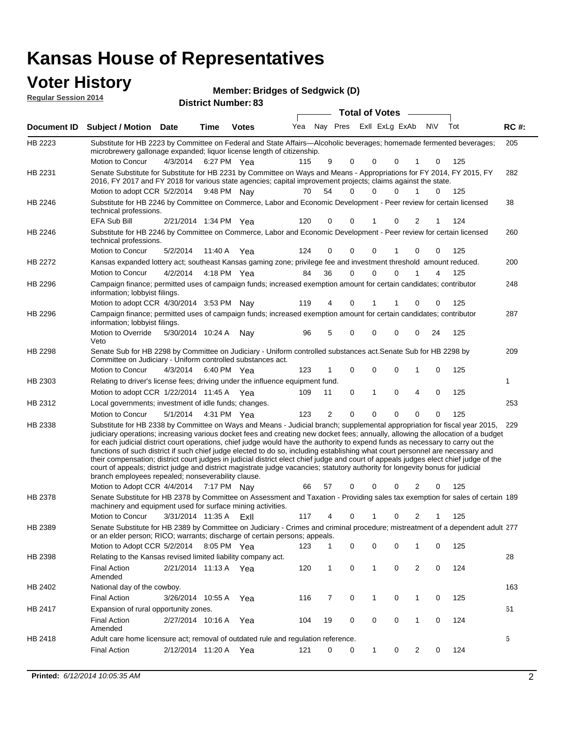#### **Voter History Member:**

| VULEI NISLUI Y<br><b>Regular Session 2014</b> |                                                                                                                                                                                                                                        |                       |                            |              | Member: Bridges of Sedgwick (D) |     |                         |                       |   |          |          |              |     |             |
|-----------------------------------------------|----------------------------------------------------------------------------------------------------------------------------------------------------------------------------------------------------------------------------------------|-----------------------|----------------------------|--------------|---------------------------------|-----|-------------------------|-----------------------|---|----------|----------|--------------|-----|-------------|
|                                               |                                                                                                                                                                                                                                        |                       | <b>District Number: 83</b> |              |                                 |     |                         | <b>Total of Votes</b> |   |          |          |              |     |             |
| Document ID                                   | <b>Subject / Motion Date</b>                                                                                                                                                                                                           |                       | Time                       | <b>Votes</b> | Yea                             |     | Nay Pres ExII ExLg ExAb |                       |   |          |          | N\V          | Tot | <b>RC#:</b> |
| HB 2223                                       | Substitute for HB 2223 by Committee on Federal and State Affairs—Alcoholic beverages; homemade fermented beverages;<br>microbrewery gallonage expanded; liquor license length of citizenship.                                          |                       |                            |              |                                 |     |                         |                       |   |          |          |              |     | 205         |
|                                               | Motion to Concur                                                                                                                                                                                                                       | 4/3/2014              | 6:27 PM Yea                |              |                                 | 115 | 9                       | $\Omega$              | 0 | $\Omega$ |          | $\Omega$     | 125 |             |
| HB 2231                                       | Senate Substitute for Substitute for HB 2231 by Committee on Ways and Means - Appropriations for FY 2014, FY 2015, FY<br>2016, FY 2017 and FY 2018 for various state agencies; capital improvement projects; claims against the state. |                       |                            |              |                                 |     |                         |                       |   |          |          |              |     | 282         |
|                                               | Motion to adopt CCR 5/2/2014 9:48 PM Nay                                                                                                                                                                                               |                       |                            |              |                                 | 70  | 54                      | $\Omega$              | 0 | $\Omega$ |          | $\mathbf{0}$ | 125 |             |
| HB 2246                                       | Substitute for HB 2246 by Committee on Commerce, Labor and Economic Development - Peer review for certain licensed<br>technical professions.                                                                                           |                       |                            |              |                                 |     |                         |                       |   |          |          |              |     | 38          |
|                                               | <b>EFA Sub Bill</b>                                                                                                                                                                                                                    | 2/21/2014 1:34 PM Yea |                            |              |                                 | 120 | 0                       | $\Omega$              |   | $\Omega$ | 2        |              | 124 |             |
| HB 2246                                       | Substitute for HB 2246 by Committee on Commerce, Labor and Economic Development - Peer review for certain licensed<br>technical professions.                                                                                           |                       |                            |              |                                 |     |                         |                       |   |          |          |              |     | 260         |
|                                               | Motion to Concur                                                                                                                                                                                                                       | 5/2/2014              | 11:40 A Yea                |              |                                 | 124 | 0                       | $\Omega$              | 0 |          | $\Omega$ | 0            | 125 |             |
| HB 2272                                       | Kansas expanded lottery act; southeast Kansas gaming zone; privilege fee and investment threshold amount reduced.                                                                                                                      |                       |                            |              |                                 |     |                         |                       |   |          |          |              |     | 200         |
|                                               | Motion to Concur                                                                                                                                                                                                                       | 4/2/2014              | 4:18 PM Yea                |              |                                 | 84  | 36                      | $\Omega$              | 0 | $\Omega$ |          | 4            | 125 |             |
| HB 2296                                       | Campaign finance; permitted uses of campaign funds; increased exemption amount for certain candidates; contributor<br>information; lobbyist filings.                                                                                   |                       |                            |              |                                 |     |                         |                       |   |          |          |              |     | 248         |
|                                               | Motion to adopt CCR 4/30/2014 3:53 PM Nay                                                                                                                                                                                              |                       |                            |              |                                 | 119 | 4                       | $\Omega$              |   |          | 0        | 0            | 125 |             |
| HB 2296                                       | Campaign finance; permitted uses of campaign funds; increased exemption amount for certain candidates; contributor<br>information; lobbyist filings.                                                                                   |                       |                            |              |                                 |     |                         |                       |   |          |          |              |     | 287         |

5/30/2014 Motion to Override Nay 125 10:24 A 96 5 0 0 0 24 0 Veto 209 4/3/2014 HB 2298 Motion to Concur 4/3/2014 6:40 PM Yea 123 1 0 0 0 1 0 125 Senate Sub for HB 2298 by Committee on Judiciary - Uniform controlled substances act.Senate Sub for HB 2298 by Committee on Judiciary - Uniform controlled substances act. 6:40 PM Yea 1 1/22/2014 Motion to adopt CCR Yea 125 11:45 A 109 11 0 0 40 1 HB 2303 Relating to driver's license fees; driving under the influence equipment fund. 253 5/1/2014 HB 2312 Motion to Concur Yea 125 4:31 PM 123 2 0 0 00 0 Local governments; investment of idle funds; changes. Substitute for HB 2338 by Committee on Ways and Means - Judicial branch; supplemental appropriation for fiscal year 2015, 229 Motion to Adopt CCR 4/4/2014 7:17 PM Nay 66 57 0 0 0 2 0 125 HB 2338 judiciary operations; increasing various docket fees and creating new docket fees; annually, allowing the allocation of a budget for each judicial district court operations, chief judge would have the authority to expend funds as necessary to carry out the functions of such district if such chief judge elected to do so, including establishing what court personnel are necessary and their compensation; district court judges in judicial district elect chief judge and court of appeals judges elect chief judge of the court of appeals; district judge and district magistrate judge vacancies; statutory authority for longevity bonus for judicial branch employees repealed; nonseverability clause. 7:17 PM Nay 66 57 0 0 0 2 0 Senate Substitute for HB 2378 by Committee on Assessment and Taxation - Providing sales tax exemption for sales of certain 189 HB 2378

3/31/2014 Motion to Concur ExIl 125 11:35 A 117 4 0 0 21 1 machinery and equipment used for surface mining activities. Senate Substitute for HB 2389 by Committee on Judiciary - Crimes and criminal procedure; mistreatment of a dependent adult 277 Motion to Adopt CCR 5/2/2014 8:05 PM Yea 123 1 0 0 0 1 0 125 HB 2389 or an elder person; RICO; warrants; discharge of certain persons; appeals. 28 2/21/2014 Final Action Yea 124 11:13 A 120 1 0 0 20 1 HB 2398 Amended Relating to the Kansas revised limited liability company act. 163 Final Action 3/26/2014 10:55 A Yea 116 7 0 1 0 125 HB 2402 National day of the cowboy. 10:55 A 116 7 0 0 10 1 61 2/27/2014 Final Action Yea 124 10:16 A 104 19 0 0 10 0 HB 2417 Amended Expansion of rural opportunity zones. 6 HB 2418 Adult care home licensure act; removal of outdated rule and regulation reference.

2/12/2014 Final Action Yea 124 11:20 A 121 0 0 0 20 1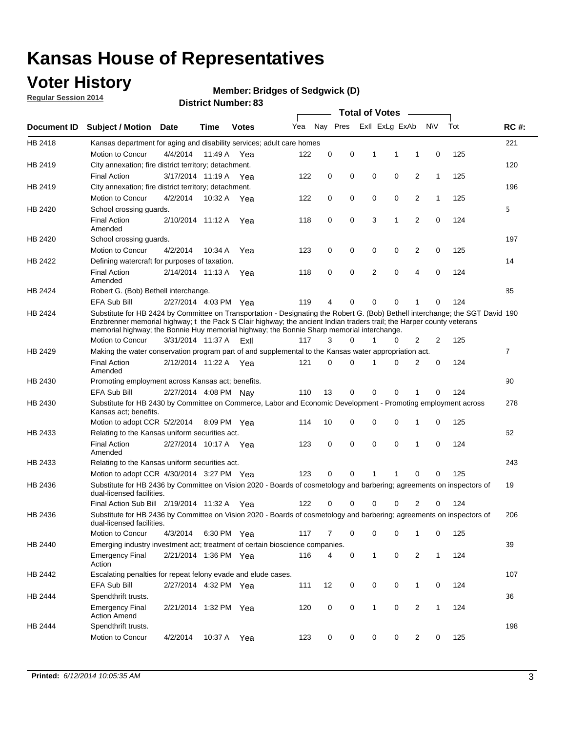### **Voter History**

**Regular Session 2014**

#### **Bridges of Sedgwick (D)**

|                    |                                                                                                                                                                                                                                                                                                                                                      |                       |             | DISTRICT MAILINGL. 09 |     |          |          |              | <b>Total of Votes</b> |                |              |     |                |
|--------------------|------------------------------------------------------------------------------------------------------------------------------------------------------------------------------------------------------------------------------------------------------------------------------------------------------------------------------------------------------|-----------------------|-------------|-----------------------|-----|----------|----------|--------------|-----------------------|----------------|--------------|-----|----------------|
| <b>Document ID</b> | <b>Subject / Motion</b>                                                                                                                                                                                                                                                                                                                              | Date                  | Time        | <b>Votes</b>          | Yea |          | Nay Pres |              | Exll ExLg ExAb        |                | N\V          | Tot | <b>RC#:</b>    |
| HB 2418            | Kansas department for aging and disability services; adult care homes                                                                                                                                                                                                                                                                                |                       |             |                       |     |          |          |              |                       |                |              |     | 221            |
|                    | <b>Motion to Concur</b>                                                                                                                                                                                                                                                                                                                              | 4/4/2014              | 11:49 A     | Yea                   | 122 | 0        | 0        | 1            | 1                     | 1              | 0            | 125 |                |
| HB 2419            | City annexation; fire district territory; detachment.                                                                                                                                                                                                                                                                                                |                       |             |                       |     |          |          |              |                       |                |              |     | 120            |
|                    | <b>Final Action</b>                                                                                                                                                                                                                                                                                                                                  | 3/17/2014 11:19 A     |             | Yea                   | 122 | 0        | 0        | 0            | 0                     | $\overline{2}$ | $\mathbf{1}$ | 125 |                |
| HB 2419            | City annexation; fire district territory; detachment.                                                                                                                                                                                                                                                                                                |                       |             |                       |     |          |          |              |                       |                |              |     | 196            |
|                    | Motion to Concur                                                                                                                                                                                                                                                                                                                                     | 4/2/2014              | 10:32 A     | Yea                   | 122 | 0        | 0        | 0            | 0                     | $\overline{2}$ | 1            | 125 |                |
| HB 2420            | School crossing quards.                                                                                                                                                                                                                                                                                                                              |                       |             |                       |     |          |          |              |                       |                |              |     | 5              |
|                    | <b>Final Action</b><br>Amended                                                                                                                                                                                                                                                                                                                       | 2/10/2014 11:12 A     |             | Yea                   | 118 | 0        | 0        | 3            | 1                     | $\overline{2}$ | 0            | 124 |                |
| HB 2420            | School crossing guards.                                                                                                                                                                                                                                                                                                                              |                       |             |                       |     |          |          |              |                       |                |              |     | 197            |
|                    | Motion to Concur                                                                                                                                                                                                                                                                                                                                     | 4/2/2014              | 10:34 A     | Yea                   | 123 | 0        | 0        | 0            | 0                     | 2              | 0            | 125 |                |
| HB 2422            | Defining watercraft for purposes of taxation.                                                                                                                                                                                                                                                                                                        |                       |             |                       |     |          |          |              |                       |                |              |     | 14             |
|                    | <b>Final Action</b><br>Amended                                                                                                                                                                                                                                                                                                                       | 2/14/2014 11:13 A     |             | Yea                   | 118 | 0        | 0        | 2            | $\mathbf 0$           | $\overline{4}$ | 0            | 124 |                |
| HB 2424            | Robert G. (Bob) Bethell interchange.                                                                                                                                                                                                                                                                                                                 |                       |             |                       |     |          |          |              |                       |                |              |     | 85             |
|                    | <b>EFA Sub Bill</b>                                                                                                                                                                                                                                                                                                                                  | 2/27/2014 4:03 PM Yea |             |                       | 119 | 4        | 0        | $\Omega$     | $\Omega$              | 1              | 0            | 124 |                |
| HB 2424            | Substitute for HB 2424 by Committee on Transportation - Designating the Robert G. (Bob) Bethell interchange; the SGT David 190<br>Enzbrenner memorial highway; t the Pack S Clair highway; the ancient Indian traders trail; the Harper county veterans<br>memorial highway; the Bonnie Huy memorial highway; the Bonnie Sharp memorial interchange. |                       |             |                       |     |          |          |              |                       |                |              |     |                |
|                    | Motion to Concur                                                                                                                                                                                                                                                                                                                                     | 3/31/2014 11:37 A     |             | ExII                  | 117 | 3        | $\Omega$ | 1            | 0                     | $\overline{2}$ | 2            | 125 |                |
| HB 2429            | Making the water conservation program part of and supplemental to the Kansas water appropriation act.                                                                                                                                                                                                                                                |                       |             |                       |     |          |          |              |                       |                |              |     | $\overline{7}$ |
|                    | <b>Final Action</b><br>Amended                                                                                                                                                                                                                                                                                                                       | 2/12/2014 11:22 A Yea |             |                       | 121 | $\Omega$ | $\Omega$ | 1            | 0                     | $\overline{2}$ | $\mathbf 0$  | 124 |                |
| HB 2430            | Promoting employment across Kansas act; benefits.                                                                                                                                                                                                                                                                                                    |                       |             |                       |     |          |          |              |                       |                |              |     | 90             |
|                    | EFA Sub Bill                                                                                                                                                                                                                                                                                                                                         | 2/27/2014 4:08 PM Nay |             |                       | 110 | 13       | 0        | $\mathbf 0$  | 0                     |                | 0            | 124 |                |
| HB 2430            | Substitute for HB 2430 by Committee on Commerce, Labor and Economic Development - Promoting employment across<br>Kansas act; benefits.                                                                                                                                                                                                               |                       |             |                       |     |          |          |              |                       |                |              |     | 278            |
|                    | Motion to adopt CCR 5/2/2014                                                                                                                                                                                                                                                                                                                         |                       | 8:09 PM Yea |                       | 114 | 10       | 0        | 0            | 0                     | 1              | 0            | 125 |                |
| HB 2433            | Relating to the Kansas uniform securities act.                                                                                                                                                                                                                                                                                                       |                       |             |                       |     |          |          |              |                       |                |              |     | 62             |
|                    | <b>Final Action</b><br>Amended                                                                                                                                                                                                                                                                                                                       | 2/27/2014 10:17 A Yea |             |                       | 123 | 0        | 0        | 0            | $\mathbf 0$           | 1              | 0            | 124 |                |
| HB 2433            | Relating to the Kansas uniform securities act.                                                                                                                                                                                                                                                                                                       |                       |             |                       |     |          |          |              |                       |                |              |     | 243            |
|                    | Motion to adopt CCR 4/30/2014 3:27 PM Yea                                                                                                                                                                                                                                                                                                            |                       |             |                       | 123 | $\Omega$ | $\Omega$ | 1            | 1                     | $\Omega$       | 0            | 125 |                |
| HB 2436            | Substitute for HB 2436 by Committee on Vision 2020 - Boards of cosmetology and barbering; agreements on inspectors of<br>dual-licensed facilities.                                                                                                                                                                                                   |                       |             |                       |     |          |          |              |                       |                |              |     | 19             |
|                    | Final Action Sub Bill 2/19/2014 11:32 A                                                                                                                                                                                                                                                                                                              |                       |             | Yea                   | 122 | ი        | 0        | O            | 0                     | 2              | 0            | 124 |                |
| HB 2436            | Substitute for HB 2436 by Committee on Vision 2020 - Boards of cosmetology and barbering; agreements on inspectors of<br>dual-licensed facilities.                                                                                                                                                                                                   |                       |             |                       |     |          |          |              |                       |                |              |     | 206            |
|                    | Motion to Concur                                                                                                                                                                                                                                                                                                                                     | 4/3/2014              | 6:30 PM Yea |                       | 117 | 7        | 0        | 0            | 0                     | 1              | 0            | 125 |                |
| HB 2440            | Emerging industry investment act; treatment of certain bioscience companies.                                                                                                                                                                                                                                                                         |                       |             |                       |     |          |          |              |                       |                |              |     | 39             |
|                    | <b>Emergency Final</b><br>Action                                                                                                                                                                                                                                                                                                                     | 2/21/2014 1:36 PM Yea |             |                       | 116 | 4        | 0        | $\mathbf{1}$ | 0                     | 2              | $\mathbf{1}$ | 124 |                |
| HB 2442            | Escalating penalties for repeat felony evade and elude cases.                                                                                                                                                                                                                                                                                        |                       |             |                       |     |          |          |              |                       |                |              |     | 107            |
|                    | EFA Sub Bill                                                                                                                                                                                                                                                                                                                                         | 2/27/2014 4:32 PM Yea |             |                       | 111 | 12       | 0        | 0            | 0                     | $\mathbf{1}$   | 0            | 124 |                |
| HB 2444            | Spendthrift trusts.                                                                                                                                                                                                                                                                                                                                  |                       |             |                       |     |          |          |              |                       |                |              |     | 36             |
|                    | <b>Emergency Final</b><br><b>Action Amend</b>                                                                                                                                                                                                                                                                                                        | 2/21/2014 1:32 PM Yea |             |                       | 120 | 0        | 0        | $\mathbf{1}$ | 0                     | $\overline{2}$ | $\mathbf{1}$ | 124 |                |
| HB 2444            | Spendthrift trusts.                                                                                                                                                                                                                                                                                                                                  |                       |             |                       |     |          |          |              |                       |                |              |     | 198            |
|                    | Motion to Concur                                                                                                                                                                                                                                                                                                                                     | 4/2/2014              | 10:37 A Yea |                       | 123 | 0        | 0        | 0            | 0                     | $\overline{2}$ | 0            | 125 |                |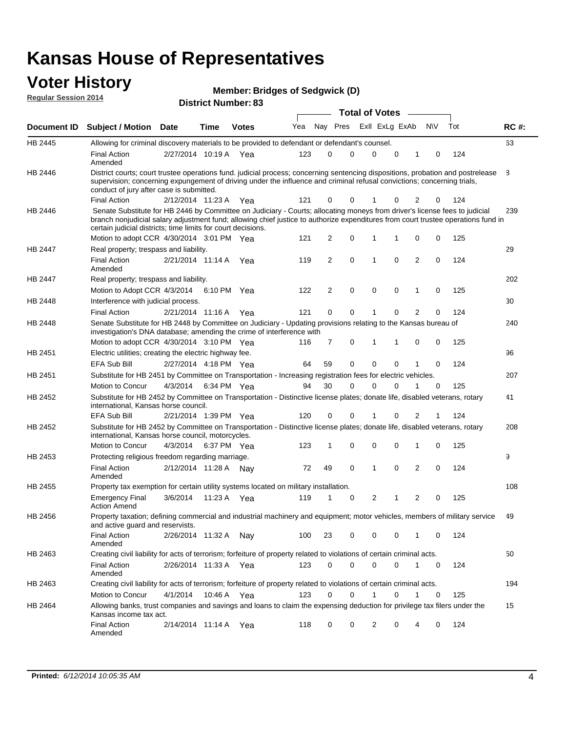# **Voter History Member: Regular Session 2014**

|  |  | <b>Member: Bridges of Sedgwick (D)</b> |  |
|--|--|----------------------------------------|--|
|--|--|----------------------------------------|--|

| Regular Session Zut4 |                                                                                                                                                                                                                                                                                                                                 |                       |      | <b>District Number: 83</b> |                |                | <b>Total of Votes</b> |                |          |                |          |                    |             |
|----------------------|---------------------------------------------------------------------------------------------------------------------------------------------------------------------------------------------------------------------------------------------------------------------------------------------------------------------------------|-----------------------|------|----------------------------|----------------|----------------|-----------------------|----------------|----------|----------------|----------|--------------------|-------------|
| <b>Document ID</b>   | <b>Subject / Motion Date</b>                                                                                                                                                                                                                                                                                                    |                       | Time | <b>Votes</b>               | Yea            | Nay Pres       |                       | ExII ExLg ExAb |          |                | N\V      | Tot                | <b>RC#:</b> |
| HB 2445              | Allowing for criminal discovery materials to be provided to defendant or defendant's counsel.                                                                                                                                                                                                                                   |                       |      |                            |                |                |                       |                |          |                |          |                    | 63          |
|                      | Final Action<br>Amended                                                                                                                                                                                                                                                                                                         | 2/27/2014 10:19 A Yea |      |                            | 123            | $\Omega$       | $\Omega$              | 0              | 0        | 1              | $\Omega$ | 124                |             |
| HB 2446              | District courts; court trustee operations fund. judicial process; concerning sentencing dispositions, probation and postrelease<br>supervision; concerning expungement of driving under the influence and criminal refusal convictions; concerning trials,<br>conduct of jury after case is submitted.                          |                       |      |                            |                |                |                       |                |          |                |          |                    | B.          |
|                      | <b>Final Action</b>                                                                                                                                                                                                                                                                                                             | 2/12/2014 11:23 A Yea |      |                            | 121            | 0              | $\Omega$              |                | 0        | 2              | 0        | 124                |             |
| HB 2446              | Senate Substitute for HB 2446 by Committee on Judiciary - Courts; allocating moneys from driver's license fees to judicial<br>branch nonjudicial salary adjustment fund; allowing chief justice to authorize expenditures from court trustee operations fund in<br>certain judicial districts; time limits for court decisions. |                       |      |                            |                |                |                       |                |          |                |          |                    | 239         |
|                      | Motion to adopt CCR 4/30/2014 3:01 PM Yea                                                                                                                                                                                                                                                                                       |                       |      |                            | 121            | 2              | 0                     |                |          | 0              | 0        | 125                |             |
| <b>HB 2447</b>       | Real property; trespass and liability.                                                                                                                                                                                                                                                                                          |                       |      |                            |                |                |                       |                |          |                |          |                    | 29          |
|                      | Final Action<br>Amended                                                                                                                                                                                                                                                                                                         | 2/21/2014 11:14 A     |      | Yea                        | 119            | 2              | 0                     | 1              | 0        | 2              | 0        | 124                |             |
| <b>HB 2447</b>       | Real property; trespass and liability.                                                                                                                                                                                                                                                                                          |                       |      |                            |                |                |                       |                |          |                |          |                    | 202         |
|                      | Motion to Adopt CCR 4/3/2014 6:10 PM Yea                                                                                                                                                                                                                                                                                        |                       |      |                            | 122            | $\overline{2}$ | $\mathbf 0$           | $\mathbf 0$    | $\Omega$ | 1              | $\Omega$ | 125                |             |
| HB 2448              | Interference with judicial process.                                                                                                                                                                                                                                                                                             |                       |      |                            |                |                |                       |                |          |                |          |                    | 30          |
|                      | <b>Final Action</b>                                                                                                                                                                                                                                                                                                             | 2/21/2014 11:16 A Yea |      |                            | 121            | $\Omega$       | $\Omega$              |                | 0        | 2              | $\Omega$ | 124                |             |
| HB 2448              | Senate Substitute for HB 2448 by Committee on Judiciary - Updating provisions relating to the Kansas bureau of<br>investigation's DNA database; amending the crime of interference with                                                                                                                                         |                       |      |                            |                |                |                       |                |          |                |          |                    | 240         |
|                      | Motion to adopt CCR 4/30/2014 3:10 PM Yea                                                                                                                                                                                                                                                                                       |                       |      |                            | 116            |                | $\Omega$              |                |          | $\Omega$       | 0        | 125                |             |
| HB 2451              | Electric utilities; creating the electric highway fee.                                                                                                                                                                                                                                                                          |                       |      |                            |                |                |                       |                |          |                |          |                    | 96          |
|                      | $\Gamma\Gamma$ A Cub Dill (2/07/0044) 4:40 DM (1/22)                                                                                                                                                                                                                                                                            |                       |      |                            | C <sub>A</sub> | EO.            |                       | $\sim$         | $\sim$   | $\overline{A}$ |          | $\Lambda$ $\Omega$ |             |

|                | <b>EFA Sub Bill</b>                                                                                                                                                             | 2/27/2014 4:18 PM Yea |             |     | 64  | 59 | $\Omega$ | 0            | $\Omega$ |                | $\Omega$ | 124 |     |
|----------------|---------------------------------------------------------------------------------------------------------------------------------------------------------------------------------|-----------------------|-------------|-----|-----|----|----------|--------------|----------|----------------|----------|-----|-----|
| HB 2451        | Substitute for HB 2451 by Committee on Transportation - Increasing registration fees for electric vehicles.                                                                     |                       |             |     |     |    |          |              |          |                |          |     | 207 |
|                | Motion to Concur                                                                                                                                                                | 4/3/2014              | 6:34 PM Yea |     | 94  | 30 | 0        | $\Omega$     | $\Omega$ |                | $\Omega$ | 125 |     |
| <b>HB 2452</b> | Substitute for HB 2452 by Committee on Transportation - Distinctive license plates; donate life, disabled veterans, rotary<br>international. Kansas horse council.              |                       |             |     |     |    |          |              |          |                |          |     | 41  |
|                | EFA Sub Bill                                                                                                                                                                    | 2/21/2014 1:39 PM Yea |             |     | 120 | 0  | 0        |              | $\Omega$ | 2              |          | 124 |     |
| HB 2452        | Substitute for HB 2452 by Committee on Transportation - Distinctive license plates; donate life, disabled veterans, rotary<br>international, Kansas horse council, motorcycles. |                       |             |     |     |    |          |              |          |                |          |     | 208 |
|                | Motion to Concur                                                                                                                                                                | 4/3/2014 6:37 PM Yea  |             |     | 123 |    | 0        | 0            | 0        |                | 0        | 125 |     |
| HB 2453        | Protecting religious freedom regarding marriage.                                                                                                                                |                       |             |     |     |    |          |              |          |                |          |     | 9   |
|                | Final Action<br>Amended                                                                                                                                                         | 2/12/2014 11:28 A     |             | Nav | 72  | 49 | $\Omega$ |              | 0        | $\overline{2}$ | $\Omega$ | 124 |     |
| <b>HB 2455</b> | Property tax exemption for certain utility systems located on military installation.                                                                                            |                       |             |     |     |    |          |              |          |                |          |     | 108 |
|                | <b>Emergency Final</b><br><b>Action Amend</b>                                                                                                                                   | 3/6/2014              | 11:23 A     | Yea | 119 |    | 0        | 2            | 1        | 2              | $\Omega$ | 125 |     |
| HB 2456        | Property taxation; defining commercial and industrial machinery and equipment; motor vehicles, members of military service<br>and active guard and reservists.                  |                       |             |     |     |    |          |              |          |                |          |     | 49  |
|                | <b>Final Action</b><br>Amended                                                                                                                                                  | 2/26/2014 11:32 A     |             | Nav | 100 | 23 | $\Omega$ | $\Omega$     | 0        |                | $\Omega$ | 124 |     |
| HB 2463        | Creating civil liability for acts of terrorism; forfeiture of property related to violations of certain criminal acts.                                                          |                       |             |     |     |    |          |              |          |                |          |     | 50  |
|                | <b>Final Action</b><br>Amended                                                                                                                                                  | 2/26/2014 11:33 A     |             | Yea | 123 | 0  | 0        | <sup>0</sup> | 0        |                | $\Omega$ | 124 |     |
| HB 2463        | Creating civil liability for acts of terrorism; forfeiture of property related to violations of certain criminal acts.                                                          |                       |             |     |     |    |          |              |          |                |          |     | 194 |
|                | Motion to Concur                                                                                                                                                                | 4/1/2014              | 10:46 A Yea |     | 123 | 0  | 0        |              | 0        |                | $\Omega$ | 125 |     |
| HB 2464        | Allowing banks, trust companies and savings and loans to claim the expensing deduction for privilege tax filers under the<br>Kansas income tax act.                             |                       |             |     |     |    |          |              |          |                |          |     | 15  |
|                | <b>Final Action</b>                                                                                                                                                             | 2/14/2014 11:14 A     |             | Yea | 118 | 0  | 0        | 2            | 0        | 4              | 0        | 124 |     |
|                |                                                                                                                                                                                 |                       |             |     |     |    |          |              |          |                |          |     |     |

Amended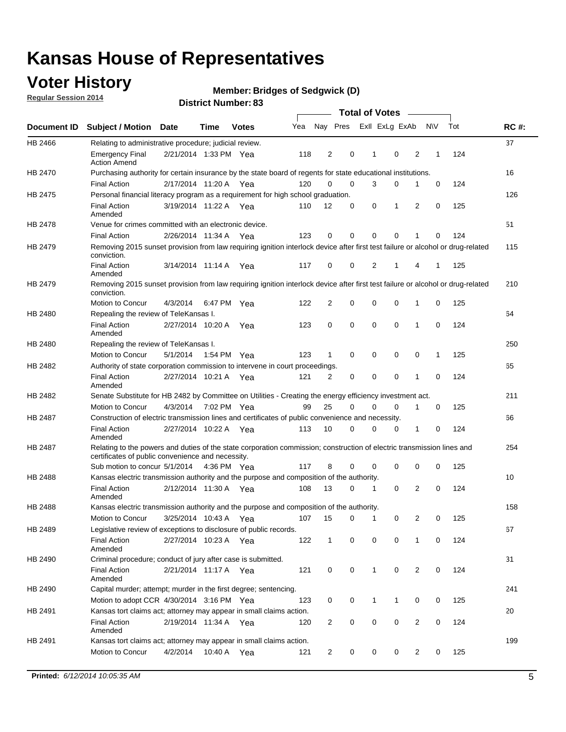## **Voter History**

**Regular Session 2014**

#### **Bridges of Sedgwick (D)**

|                |                                                                                                                                                                             |                       |      |              |     |                |             | <b>Total of Votes</b> |             |   |           |     |             |
|----------------|-----------------------------------------------------------------------------------------------------------------------------------------------------------------------------|-----------------------|------|--------------|-----|----------------|-------------|-----------------------|-------------|---|-----------|-----|-------------|
|                | Document ID Subject / Motion                                                                                                                                                | <b>Date</b>           | Time | <b>Votes</b> | Yea | Nay Pres       |             | Exll ExLg ExAb        |             |   | <b>NV</b> | Tot | <b>RC#:</b> |
| HB 2466        | Relating to administrative procedure; judicial review.                                                                                                                      |                       |      |              |     |                |             |                       |             |   |           |     | 37          |
|                | <b>Emergency Final</b><br><b>Action Amend</b>                                                                                                                               | 2/21/2014 1:33 PM Yea |      |              | 118 | 2              | 0           | 1                     | $\mathbf 0$ | 2 | 1         | 124 |             |
| HB 2470        | Purchasing authority for certain insurance by the state board of regents for state educational institutions.                                                                |                       |      |              |     |                |             |                       |             |   |           |     | 16          |
|                | <b>Final Action</b>                                                                                                                                                         | 2/17/2014 11:20 A Yea |      |              | 120 | $\mathbf 0$    | $\mathbf 0$ | 3                     | 0           | 1 | 0         | 124 |             |
| HB 2475        | Personal financial literacy program as a requirement for high school graduation.                                                                                            |                       |      |              |     |                |             |                       |             |   |           |     | 126         |
|                | <b>Final Action</b><br>Amended                                                                                                                                              | 3/19/2014 11:22 A Yea |      |              | 110 | 12             | 0           | 0                     | 1           | 2 | 0         | 125 |             |
| HB 2478        | Venue for crimes committed with an electronic device.                                                                                                                       |                       |      |              |     |                |             |                       |             |   |           |     | 51          |
|                | <b>Final Action</b>                                                                                                                                                         | 2/26/2014 11:34 A     |      | Yea          | 123 | 0              | 0           | $\mathbf 0$           | $\mathbf 0$ | 1 | 0         | 124 |             |
| HB 2479        | Removing 2015 sunset provision from law requiring ignition interlock device after first test failure or alcohol or drug-related<br>conviction.                              |                       |      |              |     |                |             |                       |             |   |           |     | 115         |
|                | <b>Final Action</b><br>Amended                                                                                                                                              | 3/14/2014 11:14 A     |      | Yea          | 117 | $\mathbf 0$    | 0           | 2                     | 1           | 4 | 1         | 125 |             |
| HB 2479        | Removing 2015 sunset provision from law requiring ignition interlock device after first test failure or alcohol or drug-related<br>conviction.                              |                       |      |              |     |                |             |                       |             |   |           |     | 210         |
|                | Motion to Concur                                                                                                                                                            | 4/3/2014              |      | 6:47 PM Yea  | 122 | $\overline{2}$ | 0           | 0                     | $\mathbf 0$ | 1 | 0         | 125 |             |
| HB 2480        | Repealing the review of TeleKansas I.                                                                                                                                       |                       |      |              |     |                |             |                       |             |   |           |     | 64          |
|                | <b>Final Action</b><br>Amended                                                                                                                                              | 2/27/2014 10:20 A     |      | Yea          | 123 | 0              | $\mathbf 0$ | $\mathbf 0$           | $\mathbf 0$ | 1 | 0         | 124 |             |
| HB 2480        | Repealing the review of TeleKansas I.                                                                                                                                       |                       |      |              |     |                |             |                       |             |   |           |     | 250         |
|                | Motion to Concur                                                                                                                                                            | 5/1/2014              |      | 1:54 PM Yea  | 123 | 1              | 0           | 0                     | 0           | 0 | 1         | 125 |             |
| HB 2482        | Authority of state corporation commission to intervene in court proceedings.                                                                                                |                       |      |              |     |                |             |                       |             |   |           |     | 65          |
|                | <b>Final Action</b><br>Amended                                                                                                                                              | 2/27/2014 10:21 A     |      | Yea          | 121 | 2              | 0           | $\mathbf 0$           | $\mathbf 0$ | 1 | 0         | 124 |             |
| HB 2482        | Senate Substitute for HB 2482 by Committee on Utilities - Creating the energy efficiency investment act.                                                                    |                       |      |              |     |                |             |                       |             |   |           |     | 211         |
|                | Motion to Concur                                                                                                                                                            | 4/3/2014 7:02 PM Yea  |      |              | 99  | 25             | $\Omega$    | 0                     | $\mathbf 0$ | 1 | 0         | 125 |             |
| <b>HB 2487</b> | Construction of electric transmission lines and certificates of public convenience and necessity.                                                                           |                       |      |              |     |                |             |                       |             |   |           |     | 66          |
|                | <b>Final Action</b><br>Amended                                                                                                                                              | 2/27/2014 10:22 A Yea |      |              | 113 | 10             | 0           | $\mathbf 0$           | 0           | 1 | 0         | 124 |             |
| HB 2487        | Relating to the powers and duties of the state corporation commission; construction of electric transmission lines and<br>certificates of public convenience and necessity. |                       |      |              |     |                |             |                       |             |   |           |     | 254         |
|                | Sub motion to concur 5/1/2014                                                                                                                                               |                       |      | 4:36 PM Yea  | 117 | 8              | 0           | 0                     | 0           | 0 | 0         | 125 |             |
| <b>HB 2488</b> | Kansas electric transmission authority and the purpose and composition of the authority.                                                                                    |                       |      |              |     |                |             |                       |             |   |           |     | 10          |
|                | <b>Final Action</b><br>Amended                                                                                                                                              | 2/12/2014 11:30 A     |      | Yea          | 108 | 13             | 0           | 1                     | $\mathbf 0$ | 2 | 0         | 124 |             |
| <b>HB 2488</b> | Kansas electric transmission authority and the purpose and composition of the authority.                                                                                    |                       |      |              |     |                |             |                       |             |   |           |     | 158         |
|                | Motion to Concur                                                                                                                                                            | 3/25/2014 10:43 A     |      | Yea          | 107 | 15             | 0           | $\mathbf 1$           | 0           | 2 | 0         | 125 |             |
| HB 2489        | Legislative review of exceptions to disclosure of public records.                                                                                                           |                       |      |              |     |                |             |                       |             |   |           |     | 67          |
|                | <b>Final Action</b><br>Amended                                                                                                                                              | 2/27/2014 10:23 A Yea |      |              | 122 | $\mathbf{1}$   | 0           | 0                     | 0           | 1 | 0         | 124 |             |
| HB 2490        | Criminal procedure; conduct of jury after case is submitted.                                                                                                                |                       |      |              |     |                |             |                       |             |   |           |     | 31          |
|                | <b>Final Action</b><br>Amended                                                                                                                                              | 2/21/2014 11:17 A Yea |      |              | 121 | 0              | 0           | $\mathbf{1}$          | $\mathbf 0$ | 2 | 0         | 124 |             |
| HB 2490        | Capital murder; attempt; murder in the first degree; sentencing.                                                                                                            |                       |      |              |     |                |             |                       |             |   |           |     | 241         |
|                | Motion to adopt CCR 4/30/2014 3:16 PM Yea                                                                                                                                   |                       |      |              | 123 | 0              | 0           | 1                     | 1           | 0 | 0         | 125 |             |
| HB 2491        | Kansas tort claims act; attorney may appear in small claims action.                                                                                                         |                       |      |              |     |                |             |                       |             |   |           |     | 20          |
|                | <b>Final Action</b><br>Amended                                                                                                                                              | 2/19/2014 11:34 A Yea |      |              | 120 | $\overline{c}$ | 0           | 0                     | $\pmb{0}$   | 2 | 0         | 124 |             |
| HB 2491        | Kansas tort claims act; attorney may appear in small claims action.                                                                                                         |                       |      |              |     |                |             |                       |             |   |           |     | 199         |
|                | Motion to Concur                                                                                                                                                            | 4/2/2014              |      | 10:40 A Yea  | 121 | 2              | 0           | 0                     | 0           | 2 | 0         | 125 |             |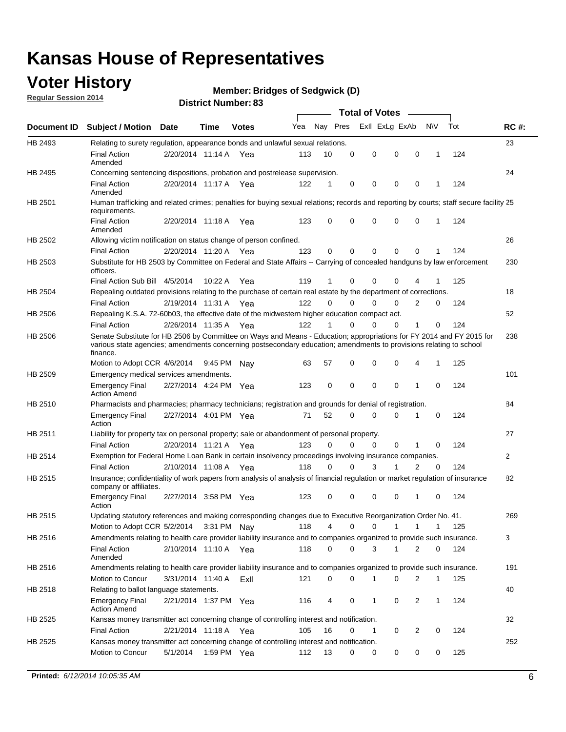### **Voter History**

**Regular Session 2014**

#### **Bridges of Sedgwick (D)**

|                |                                                                                                                                                                                                                                                        |                       |             | DISTRICT MAILINGL. 09 |     |          |             | Total of Votes –        |                |             |     |              |
|----------------|--------------------------------------------------------------------------------------------------------------------------------------------------------------------------------------------------------------------------------------------------------|-----------------------|-------------|-----------------------|-----|----------|-------------|-------------------------|----------------|-------------|-----|--------------|
| Document ID    | <b>Subject / Motion Date</b>                                                                                                                                                                                                                           |                       | Time        | <b>Votes</b>          | Yea | Nay Pres |             | Exll ExLg ExAb          |                | N\V         | Tot | <b>RC#:</b>  |
| HB 2493        | Relating to surety regulation, appearance bonds and unlawful sexual relations.                                                                                                                                                                         |                       |             |                       |     |          |             |                         |                |             |     | 23           |
|                | <b>Final Action</b><br>Amended                                                                                                                                                                                                                         | 2/20/2014 11:14 A Yea |             |                       | 113 | 10       | $\mathbf 0$ | 0<br>$\mathbf 0$        | $\mathbf 0$    | 1           | 124 |              |
| HB 2495        | Concerning sentencing dispositions, probation and postrelease supervision.                                                                                                                                                                             |                       |             |                       |     |          |             |                         |                |             |     | 24           |
|                | <b>Final Action</b><br>Amended                                                                                                                                                                                                                         | 2/20/2014 11:17 A     |             | Yea                   | 122 | 1        | $\mathbf 0$ | 0<br>0                  | 0              | 1           | 124 |              |
| HB 2501        | Human trafficking and related crimes; penalties for buying sexual relations; records and reporting by courts; staff secure facility 25<br>requirements.                                                                                                |                       |             |                       |     |          |             |                         |                |             |     |              |
|                | <b>Final Action</b><br>Amended                                                                                                                                                                                                                         | 2/20/2014 11:18 A Yea |             |                       | 123 | 0        | 0           | 0<br>$\Omega$           | 0              | 1           | 124 |              |
| HB 2502        | Allowing victim notification on status change of person confined.                                                                                                                                                                                      |                       |             |                       |     |          |             |                         |                |             |     | 26           |
|                | <b>Final Action</b>                                                                                                                                                                                                                                    | 2/20/2014 11:20 A Yea |             |                       | 123 | 0        | 0           | 0<br>$\mathbf 0$        | 0              |             | 124 |              |
| HB 2503        | Substitute for HB 2503 by Committee on Federal and State Affairs -- Carrying of concealed handguns by law enforcement<br>officers.                                                                                                                     |                       |             |                       |     |          |             |                         |                |             |     | 230          |
|                | Final Action Sub Bill 4/5/2014                                                                                                                                                                                                                         |                       | 10:22 A     | Yea                   | 119 | 1        | 0           | 0<br>0                  |                |             | 125 |              |
| <b>HB 2504</b> | Repealing outdated provisions relating to the purchase of certain real estate by the department of corrections.                                                                                                                                        |                       |             |                       |     |          |             |                         |                |             |     | 18           |
|                | <b>Final Action</b>                                                                                                                                                                                                                                    | 2/19/2014 11:31 A Yea |             |                       | 122 | 0        | 0           | 0<br>0                  | 2              | 0           | 124 |              |
| HB 2506        | Repealing K.S.A. 72-60b03, the effective date of the midwestern higher education compact act.                                                                                                                                                          |                       |             |                       |     |          |             |                         |                |             |     | 52           |
|                | <b>Final Action</b>                                                                                                                                                                                                                                    | 2/26/2014 11:35 A Yea |             |                       | 122 | 1        | $\mathbf 0$ | 0<br>0                  | 1              | 0           | 124 |              |
| HB 2506        | Senate Substitute for HB 2506 by Committee on Ways and Means - Education; appropriations for FY 2014 and FY 2015 for<br>various state agencies; amendments concerning postsecondary education; amendments to provisions relating to school<br>finance. |                       |             |                       |     |          |             |                         |                |             |     | 238          |
|                | Motion to Adopt CCR 4/6/2014                                                                                                                                                                                                                           |                       | 9:45 PM Nav |                       | 63  | 57       | 0           | 0<br>$\mathbf 0$        | 4              | 1           | 125 |              |
| HB 2509        | Emergency medical services amendments.                                                                                                                                                                                                                 |                       |             |                       |     |          |             |                         |                |             |     | 101          |
|                | <b>Emergency Final</b><br><b>Action Amend</b>                                                                                                                                                                                                          | 2/27/2014 4:24 PM Yea |             |                       | 123 | 0        | $\mathbf 0$ | $\mathbf 0$<br>$\Omega$ | $\overline{1}$ | $\Omega$    | 124 |              |
| HB 2510        | Pharmacists and pharmacies; pharmacy technicians; registration and grounds for denial of registration.                                                                                                                                                 |                       |             |                       |     |          |             |                         |                |             |     | 84           |
|                | <b>Emergency Final</b><br>Action                                                                                                                                                                                                                       | 2/27/2014 4:01 PM Yea |             |                       | 71  | 52       | 0           | 0<br>$\Omega$           | 1              | 0           | 124 |              |
| HB 2511        | Liability for property tax on personal property; sale or abandonment of personal property.                                                                                                                                                             |                       |             |                       |     |          |             |                         |                |             |     | 27           |
|                | <b>Final Action</b>                                                                                                                                                                                                                                    | 2/20/2014 11:21 A     |             | Yea                   | 123 | 0        | 0           | 0<br>0                  | 1              | 0           | 124 |              |
| HB 2514        | Exemption for Federal Home Loan Bank in certain insolvency proceedings involving insurance companies.                                                                                                                                                  |                       |             |                       |     |          |             |                         |                |             |     | $\mathbf{2}$ |
|                | <b>Final Action</b>                                                                                                                                                                                                                                    | 2/10/2014 11:08 A     |             | Yea                   | 118 | 0        | $\Omega$    | 3<br>1                  | $\overline{2}$ | $\mathbf 0$ | 124 |              |
| HB 2515        | Insurance; confidentiality of work papers from analysis of analysis of financial regulation or market regulation of insurance<br>company or affiliates.                                                                                                |                       |             |                       |     |          |             |                         |                |             |     | 82           |
|                | <b>Emergency Final</b><br>Action                                                                                                                                                                                                                       | 2/27/2014 3:58 PM Yea |             |                       | 123 | 0        | 0           | 0<br>0                  | -1             | 0           | 124 |              |
| HB 2515        | Updating statutory references and making corresponding changes due to Executive Reorganization Order No. 41.                                                                                                                                           |                       |             |                       |     |          |             |                         |                |             |     | 269          |
|                | Motion to Adopt CCR 5/2/2014 3:31 PM Nay                                                                                                                                                                                                               |                       |             |                       | 118 | 4        | 0           | 0<br>1                  | 1              | 1           | 125 |              |
| HB 2516        | Amendments relating to health care provider liability insurance and to companies organized to provide such insurance.                                                                                                                                  |                       |             |                       |     |          |             |                         |                |             |     | 3            |
|                | <b>Final Action</b><br>Amended                                                                                                                                                                                                                         | 2/10/2014 11:10 A Yea |             |                       | 118 | 0        | 0           | 3<br>1                  | 2              | 0           | 124 |              |
| HB 2516        | Amendments relating to health care provider liability insurance and to companies organized to provide such insurance.                                                                                                                                  |                       |             |                       |     |          |             |                         |                |             |     | 191          |
|                | Motion to Concur                                                                                                                                                                                                                                       | 3/31/2014 11:40 A     |             | ExII                  | 121 | 0        | 0           | 1<br>0                  | 2              | 1           | 125 |              |
| HB 2518        | Relating to ballot language statements.                                                                                                                                                                                                                |                       |             |                       |     |          |             |                         |                |             |     | 40           |
|                | <b>Emergency Final</b><br><b>Action Amend</b>                                                                                                                                                                                                          | 2/21/2014 1:37 PM Yea |             |                       | 116 | 4        | 0           | 0<br>1                  | $\overline{2}$ | 1           | 124 |              |
| HB 2525        | Kansas money transmitter act concerning change of controlling interest and notification.                                                                                                                                                               |                       |             |                       |     |          |             |                         |                |             |     | 32           |
|                | <b>Final Action</b>                                                                                                                                                                                                                                    | 2/21/2014 11:18 A Yea |             |                       | 105 | 16       | 0           | 0<br>1                  | $\overline{2}$ | 0           | 124 |              |
| HB 2525        | Kansas money transmitter act concerning change of controlling interest and notification.                                                                                                                                                               |                       |             |                       |     |          |             |                         |                |             |     | 252          |
|                | Motion to Concur                                                                                                                                                                                                                                       | 5/1/2014              | 1:59 PM Yea |                       | 112 | 13       | 0           | 0<br>0                  | 0              | 0           | 125 |              |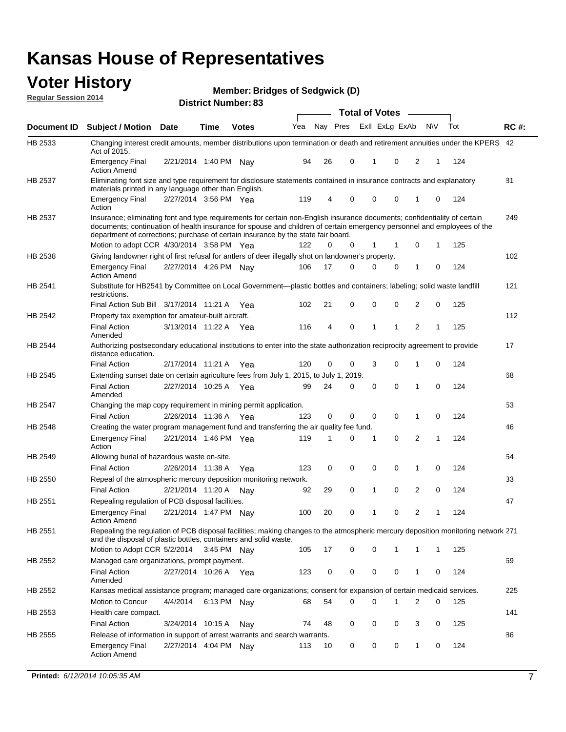#### **Voter History Regular Session 2014**

|  |  | <b>Member: Bridges of Sedgwick (D)</b> |  |
|--|--|----------------------------------------|--|
|--|--|----------------------------------------|--|

|             |                                                                                                                                                                                                                                                                                                                                                                                        |                       | ul Ituliinui . |              |     |    |                         | <b>Total of Votes</b> |             |          |              |              |     |             |
|-------------|----------------------------------------------------------------------------------------------------------------------------------------------------------------------------------------------------------------------------------------------------------------------------------------------------------------------------------------------------------------------------------------|-----------------------|----------------|--------------|-----|----|-------------------------|-----------------------|-------------|----------|--------------|--------------|-----|-------------|
| Document ID | <b>Subject / Motion Date</b>                                                                                                                                                                                                                                                                                                                                                           |                       | <b>Time</b>    | <b>Votes</b> | Yea |    | Nay Pres Exll ExLg ExAb |                       |             |          | <b>NV</b>    |              | Tot | <b>RC#:</b> |
| HB 2533     | Changing interest credit amounts, member distributions upon termination or death and retirement annuities under the KPERS 42<br>Act of 2015.                                                                                                                                                                                                                                           |                       |                |              |     |    |                         |                       |             |          |              |              |     |             |
|             | <b>Emergency Final</b><br><b>Action Amend</b>                                                                                                                                                                                                                                                                                                                                          | 2/21/2014 1:40 PM Nav |                |              | 94  | 26 | 0                       |                       | 1           | 0        | 2            | $\mathbf{1}$ | 124 |             |
| HB 2537     | Eliminating font size and type requirement for disclosure statements contained in insurance contracts and explanatory<br>materials printed in any language other than English.                                                                                                                                                                                                         |                       |                |              |     |    |                         |                       |             |          |              |              |     | 81          |
|             | <b>Emergency Final</b><br>Action                                                                                                                                                                                                                                                                                                                                                       | 2/27/2014 3:56 PM Yea |                |              | 119 | 4  | 0                       |                       | 0           | 0        | 1            | 0            | 124 |             |
| HB 2537     | Insurance; eliminating font and type requirements for certain non-English insurance documents; confidentiality of certain<br>documents; continuation of health insurance for spouse and children of certain emergency personnel and employees of the<br>department of corrections; purchase of certain insurance by the state fair board.<br>Motion to adopt CCR 4/30/2014 3:58 PM Yea |                       |                |              | 122 | 0  | 0                       |                       | 1           |          | 0            | 1            | 125 | 249         |
| HB 2538     | Giving landowner right of first refusal for antlers of deer illegally shot on landowner's property.                                                                                                                                                                                                                                                                                    |                       |                |              |     |    |                         |                       |             |          |              |              |     | 102         |
|             | <b>Emergency Final</b><br><b>Action Amend</b>                                                                                                                                                                                                                                                                                                                                          | 2/27/2014 4:26 PM Nay |                |              | 106 | 17 | $\Omega$                |                       | 0           | 0        | 1            | 0            | 124 |             |
| HB 2541     | Substitute for HB2541 by Committee on Local Government—plastic bottles and containers; labeling; solid waste landfill<br>restrictions.                                                                                                                                                                                                                                                 |                       |                |              |     |    |                         |                       |             |          |              |              |     | 121         |
|             | Final Action Sub Bill 3/17/2014 11:21 A Yea                                                                                                                                                                                                                                                                                                                                            |                       |                |              | 102 | 21 | 0                       |                       | $\mathbf 0$ | 0        | 2            | 0            | 125 |             |
| HB 2542     | Property tax exemption for amateur-built aircraft.                                                                                                                                                                                                                                                                                                                                     |                       |                |              |     |    |                         |                       |             |          |              |              |     | 112         |
|             | <b>Final Action</b><br>Amended                                                                                                                                                                                                                                                                                                                                                         | 3/13/2014 11:22 A Yea |                |              | 116 | 4  | 0                       |                       | 1           | 1        | 2            | 1            | 125 |             |
| HB 2544     | Authorizing postsecondary educational institutions to enter into the state authorization reciprocity agreement to provide<br>distance education.                                                                                                                                                                                                                                       |                       |                |              |     |    |                         |                       |             |          |              |              |     | 17          |
|             | <b>Final Action</b>                                                                                                                                                                                                                                                                                                                                                                    | 2/17/2014 11:21 A Yea |                |              | 120 | 0  | 0                       |                       | 3           | 0        | 1            | 0            | 124 |             |
| HB 2545     | Extending sunset date on certain agriculture fees from July 1, 2015, to July 1, 2019.                                                                                                                                                                                                                                                                                                  |                       |                |              |     |    |                         |                       |             |          |              |              |     | 68          |
|             | <b>Final Action</b><br>Amended                                                                                                                                                                                                                                                                                                                                                         | 2/27/2014 10:25 A Yea |                |              | 99  | 24 | 0                       |                       | $\mathbf 0$ | $\Omega$ | 1            | $\Omega$     | 124 |             |
| HB 2547     | Changing the map copy requirement in mining permit application.                                                                                                                                                                                                                                                                                                                        |                       |                |              |     |    |                         |                       |             |          |              |              |     | 53          |
|             | <b>Final Action</b>                                                                                                                                                                                                                                                                                                                                                                    | 2/26/2014 11:36 A     |                | Yea          | 123 | 0  | 0                       |                       | 0           | 0        | 1            | 0            | 124 |             |
| HB 2548     | Creating the water program management fund and transferring the air quality fee fund.                                                                                                                                                                                                                                                                                                  |                       |                |              |     |    |                         |                       |             |          |              |              |     | 46          |
|             | <b>Emergency Final</b><br>Action                                                                                                                                                                                                                                                                                                                                                       | 2/21/2014 1:46 PM Yea |                |              | 119 | 1  | 0                       |                       | 1           | 0        | 2            | 1            | 124 |             |
| HB 2549     | Allowing burial of hazardous waste on-site.                                                                                                                                                                                                                                                                                                                                            |                       |                |              |     |    |                         |                       |             |          |              |              |     | 54          |
|             | <b>Final Action</b>                                                                                                                                                                                                                                                                                                                                                                    | 2/26/2014 11:38 A     |                | Yea          | 123 | 0  | 0                       |                       | 0           | 0        | 1            | 0            | 124 |             |
| HB 2550     | Repeal of the atmospheric mercury deposition monitoring network.                                                                                                                                                                                                                                                                                                                       |                       |                |              |     |    |                         |                       |             |          |              |              |     | 33          |
|             | <b>Final Action</b>                                                                                                                                                                                                                                                                                                                                                                    | 2/21/2014 11:20 A     |                | Nay          | 92  | 29 | 0                       |                       | 1           | 0        | 2            | 0            | 124 |             |
| HB 2551     | Repealing regulation of PCB disposal facilities.                                                                                                                                                                                                                                                                                                                                       |                       |                |              |     |    |                         |                       |             |          |              |              |     | 47          |
|             | <b>Emergency Final</b><br>Action Amend                                                                                                                                                                                                                                                                                                                                                 | 2/21/2014 1:47 PM Nay |                |              | 100 | 20 | 0                       |                       | 1           | 0        | 2            | 1            | 124 |             |
| HB 2551     | Repealing the regulation of PCB disposal facilities; making changes to the atmospheric mercury deposition monitoring network 271<br>and the disposal of plastic bottles, containers and solid waste.                                                                                                                                                                                   |                       |                |              |     |    |                         |                       |             |          |              |              |     |             |
|             | Motion to Adopt CCR 5/2/2014                                                                                                                                                                                                                                                                                                                                                           |                       | 3:45 PM Nay    |              | 105 | 17 | 0                       |                       | $\mathbf 0$ | 1        | 1            | $\mathbf{1}$ | 125 |             |
| HB 2552     | Managed care organizations, prompt payment.                                                                                                                                                                                                                                                                                                                                            |                       |                |              |     |    |                         |                       |             |          |              |              |     | 69          |
|             | <b>Final Action</b><br>Amended                                                                                                                                                                                                                                                                                                                                                         | 2/27/2014 10:26 A Yea |                |              | 123 | 0  | 0                       |                       | 0           | 0        | 1            | 0            | 124 |             |
| HB 2552     | Kansas medical assistance program; managed care organizations; consent for expansion of certain medicaid services.                                                                                                                                                                                                                                                                     |                       |                |              |     |    |                         |                       |             |          |              |              |     | 225         |
|             | Motion to Concur                                                                                                                                                                                                                                                                                                                                                                       | 4/4/2014              | 6:13 PM Nav    |              | 68  | 54 | 0                       |                       | $\mathbf 0$ | 1        | 2            | 0            | 125 |             |
| HB 2553     | Health care compact.                                                                                                                                                                                                                                                                                                                                                                   |                       |                |              |     |    |                         |                       |             |          |              |              |     | 141         |
|             | <b>Final Action</b>                                                                                                                                                                                                                                                                                                                                                                    | 3/24/2014 10:15 A     |                | Nay          | 74  | 48 | 0                       |                       | 0           | 0        | 3            | 0            | 125 |             |
| HB 2555     | Release of information in support of arrest warrants and search warrants.                                                                                                                                                                                                                                                                                                              |                       |                |              |     |    |                         |                       |             |          |              |              |     | 86          |
|             | <b>Emergency Final</b><br><b>Action Amend</b>                                                                                                                                                                                                                                                                                                                                          | 2/27/2014 4:04 PM Nav |                |              | 113 | 10 | 0                       |                       | 0           | 0        | $\mathbf{1}$ | 0            | 124 |             |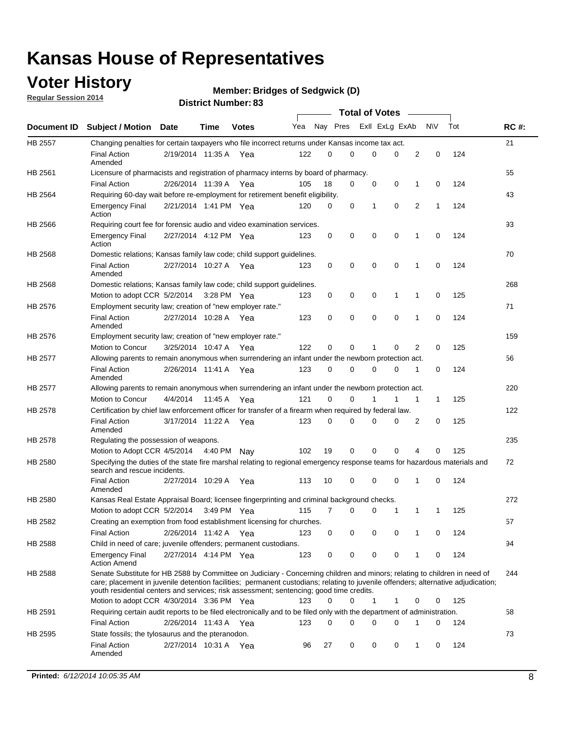### **Voter History**

**Regular Session 2014**

#### **Bridges of Sedgwick (D)**

|                |                                                                                                                                                                                                                                                                                                                                                           |                       |             |              |     |          |   | <b>Total of Votes</b> |             |              |             |     |             |
|----------------|-----------------------------------------------------------------------------------------------------------------------------------------------------------------------------------------------------------------------------------------------------------------------------------------------------------------------------------------------------------|-----------------------|-------------|--------------|-----|----------|---|-----------------------|-------------|--------------|-------------|-----|-------------|
|                | Document ID Subject / Motion Date                                                                                                                                                                                                                                                                                                                         |                       | Time        | <b>Votes</b> | Yea | Nay Pres |   | Exll ExLg ExAb        |             |              | <b>NV</b>   | Tot | <b>RC#:</b> |
| <b>HB 2557</b> | Changing penalties for certain taxpayers who file incorrect returns under Kansas income tax act.                                                                                                                                                                                                                                                          |                       |             |              |     |          |   |                       |             |              |             |     | 21          |
|                | <b>Final Action</b><br>Amended                                                                                                                                                                                                                                                                                                                            | 2/19/2014 11:35 A     |             | Yea          | 122 | 0        | 0 | 0                     | 0           | 2            | $\mathbf 0$ | 124 |             |
| HB 2561        | Licensure of pharmacists and registration of pharmacy interns by board of pharmacy.                                                                                                                                                                                                                                                                       |                       |             |              |     |          |   |                       |             |              |             |     | 55          |
|                | <b>Final Action</b>                                                                                                                                                                                                                                                                                                                                       | 2/26/2014 11:39 A Yea |             |              | 105 | 18       | 0 | 0                     | 0           | 1            | 0           | 124 |             |
| HB 2564        | Requiring 60-day wait before re-employment for retirement benefit eligibility.                                                                                                                                                                                                                                                                            |                       |             |              |     |          |   |                       |             |              |             |     | 43          |
|                | <b>Emergency Final</b><br>Action                                                                                                                                                                                                                                                                                                                          | 2/21/2014 1:41 PM Yea |             |              | 120 | 0        | 0 | 1                     | 0           | 2            | 1           | 124 |             |
| HB 2566        | Requiring court fee for forensic audio and video examination services.                                                                                                                                                                                                                                                                                    |                       |             |              |     |          |   |                       |             |              |             |     | 93          |
|                | <b>Emergency Final</b><br>Action                                                                                                                                                                                                                                                                                                                          | 2/27/2014 4:12 PM Yea |             |              | 123 | 0        | 0 | 0                     | $\mathbf 0$ | $\mathbf{1}$ | 0           | 124 |             |
| HB 2568        | Domestic relations; Kansas family law code; child support guidelines.                                                                                                                                                                                                                                                                                     |                       |             |              |     |          |   |                       |             |              |             |     | 70          |
|                | <b>Final Action</b><br>Amended                                                                                                                                                                                                                                                                                                                            | 2/27/2014 10:27 A     |             | Yea          | 123 | 0        | 0 | 0                     | $\mathbf 0$ | 1            | 0           | 124 |             |
| HB 2568        | Domestic relations; Kansas family law code; child support guidelines.                                                                                                                                                                                                                                                                                     |                       |             |              |     |          |   |                       |             |              |             |     | 268         |
|                | Motion to adopt CCR 5/2/2014                                                                                                                                                                                                                                                                                                                              |                       | 3:28 PM Yea |              | 123 | 0        | 0 | 0                     | 1           | 1            | $\mathbf 0$ | 125 |             |
| HB 2576        | Employment security law; creation of "new employer rate."                                                                                                                                                                                                                                                                                                 |                       |             |              |     |          |   |                       |             |              |             |     | 71          |
|                | <b>Final Action</b><br>Amended                                                                                                                                                                                                                                                                                                                            | 2/27/2014 10:28 A Yea |             |              | 123 | 0        | 0 | 0                     | 0           | 1            | 0           | 124 |             |
| HB 2576        | Employment security law; creation of "new employer rate."                                                                                                                                                                                                                                                                                                 |                       |             |              |     |          |   |                       |             |              |             |     | 159         |
|                | Motion to Concur                                                                                                                                                                                                                                                                                                                                          | 3/25/2014 10:47 A     |             | Yea          | 122 | 0        | 0 | 1                     | 0           | 2            | 0           | 125 |             |
| HB 2577        | Allowing parents to remain anonymous when surrendering an infant under the newborn protection act.                                                                                                                                                                                                                                                        |                       |             |              |     |          |   |                       |             |              |             |     | 56          |
|                | <b>Final Action</b><br>Amended                                                                                                                                                                                                                                                                                                                            | 2/26/2014 11:41 A Yea |             |              | 123 | $\Omega$ | 0 | 0                     | $\Omega$    | 1            | 0           | 124 |             |
| HB 2577        | Allowing parents to remain anonymous when surrendering an infant under the newborn protection act.                                                                                                                                                                                                                                                        |                       |             |              |     |          |   |                       |             |              |             |     | 220         |
|                | Motion to Concur                                                                                                                                                                                                                                                                                                                                          | 4/4/2014              | 11:45 A     | Yea          | 121 | $\Omega$ | 0 | 1                     | 1           | 1            | 1           | 125 |             |
| HB 2578        | Certification by chief law enforcement officer for transfer of a firearm when required by federal law.                                                                                                                                                                                                                                                    |                       |             |              |     |          |   |                       |             |              |             |     | 122         |
|                | <b>Final Action</b><br>Amended                                                                                                                                                                                                                                                                                                                            | 3/17/2014 11:22 A     |             | Yea          | 123 | $\Omega$ | 0 | 0                     | 0           | 2            | 0           | 125 |             |
| HB 2578        | Regulating the possession of weapons.                                                                                                                                                                                                                                                                                                                     |                       |             |              |     |          |   |                       |             |              |             |     | 235         |
|                | Motion to Adopt CCR 4/5/2014 4:40 PM Nay                                                                                                                                                                                                                                                                                                                  |                       |             |              | 102 | 19       | 0 | 0                     | 0           | 4            | 0           | 125 |             |
| HB 2580        | Specifying the duties of the state fire marshal relating to regional emergency response teams for hazardous materials and<br>search and rescue incidents.                                                                                                                                                                                                 |                       |             |              |     |          |   |                       |             |              |             |     | 72          |
|                | <b>Final Action</b><br>Amended                                                                                                                                                                                                                                                                                                                            | 2/27/2014 10:29 A     |             | Yea          | 113 | 10       | 0 | 0                     | $\mathbf 0$ | 1            | 0           | 124 |             |
| HB 2580        | Kansas Real Estate Appraisal Board; licensee fingerprinting and criminal background checks.                                                                                                                                                                                                                                                               |                       |             |              |     |          |   |                       |             |              |             |     | 272         |
|                | Motion to adopt CCR 5/2/2014                                                                                                                                                                                                                                                                                                                              |                       |             | 3:49 PM Yea  | 115 | 7        | 0 | 0                     | 1           | 1            | 1           | 125 |             |
| HB 2582        | Creating an exemption from food establishment licensing for churches.                                                                                                                                                                                                                                                                                     |                       |             |              |     |          |   |                       |             |              |             |     | 57          |
|                | <b>Final Action</b>                                                                                                                                                                                                                                                                                                                                       | 2/26/2014 11:42 A Yea |             |              | 123 | 0        | 0 | 0                     | 0           |              | 0           | 124 |             |
| HB 2588        | Child in need of care; juvenile offenders; permanent custodians.                                                                                                                                                                                                                                                                                          |                       |             |              |     |          |   |                       |             |              |             |     | 94          |
|                | <b>Emergency Final</b><br><b>Action Amend</b>                                                                                                                                                                                                                                                                                                             | 2/27/2014 4:14 PM Yea |             |              | 123 | 0        | 0 | 0                     | 0           | 1            | 0           | 124 |             |
| HB 2588        | Senate Substitute for HB 2588 by Committee on Judiciary - Concerning children and minors; relating to children in need of<br>care; placement in juvenile detention facilities; permanent custodians; relating to juvenile offenders; alternative adjudication;<br>youth residential centers and services; risk assessment; sentencing; good time credits. |                       |             |              |     |          |   |                       |             |              |             |     | 244         |
|                | Motion to adopt CCR 4/30/2014 3:36 PM Yea                                                                                                                                                                                                                                                                                                                 |                       |             |              | 123 | 0        | 0 | 1                     | 1           | 0            | 0           | 125 |             |
| HB 2591        | Requiring certain audit reports to be filed electronically and to be filed only with the department of administration.                                                                                                                                                                                                                                    |                       |             |              |     |          |   |                       |             |              |             |     | 58          |
|                | <b>Final Action</b>                                                                                                                                                                                                                                                                                                                                       | 2/26/2014 11:43 A Yea |             |              | 123 | 0        | 0 | 0                     | 0           | 1            | 0           | 124 |             |
| HB 2595        | State fossils; the tylosaurus and the pteranodon.                                                                                                                                                                                                                                                                                                         |                       |             |              |     |          |   |                       |             |              |             |     | 73          |
|                | <b>Final Action</b><br>Amended                                                                                                                                                                                                                                                                                                                            | 2/27/2014 10:31 A Yea |             |              | 96  | 27       | 0 | 0                     | 0           | 1            | 0           | 124 |             |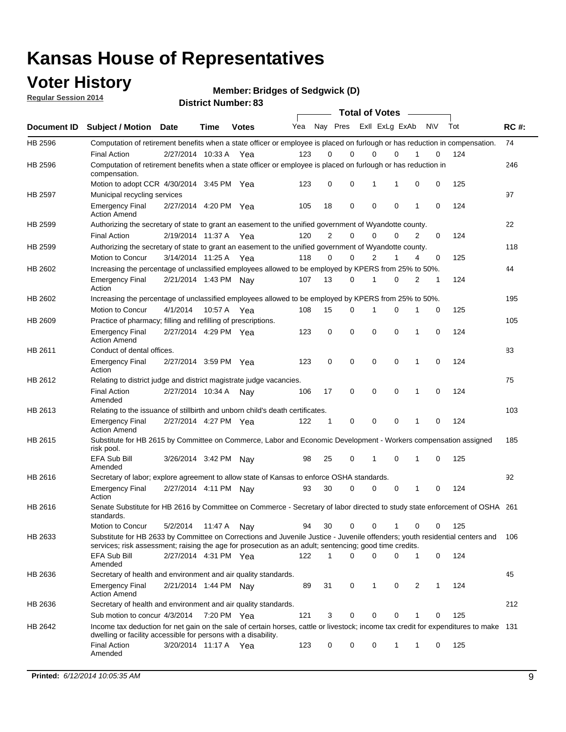### **Voter History**

**Regular Session 2014**

**Bridges of Sedgwick (D)**

|                |                                                                                                                                                                                                                                       | DISTRICT MAILINGL 03  |             |              |     |                |             | <b>Total of Votes</b> |                |                |   |           |     |             |
|----------------|---------------------------------------------------------------------------------------------------------------------------------------------------------------------------------------------------------------------------------------|-----------------------|-------------|--------------|-----|----------------|-------------|-----------------------|----------------|----------------|---|-----------|-----|-------------|
| Document ID    | <b>Subject / Motion</b>                                                                                                                                                                                                               | Date                  | Time        | <b>Votes</b> | Yea |                | Nay Pres    |                       |                | Exll ExLg ExAb |   | <b>NV</b> | Tot | <b>RC#:</b> |
| HB 2596        | Computation of retirement benefits when a state officer or employee is placed on furlough or has reduction in compensation.                                                                                                           |                       |             |              |     |                |             |                       |                |                |   |           |     | 74          |
|                | <b>Final Action</b>                                                                                                                                                                                                                   | 2/27/2014 10:33 A     |             | Yea          | 123 | 0              | 0           |                       | 0              | $\Omega$       |   | 0         | 124 |             |
| HB 2596        | Computation of retirement benefits when a state officer or employee is placed on furlough or has reduction in<br>compensation.                                                                                                        |                       |             |              |     |                |             |                       |                |                |   |           |     | 246         |
|                | Motion to adopt CCR 4/30/2014 3:45 PM Yea                                                                                                                                                                                             |                       |             |              | 123 | 0              | 0           |                       | 1              | 1              | 0 | 0         | 125 |             |
| <b>HB 2597</b> | Municipal recycling services                                                                                                                                                                                                          |                       |             |              |     |                |             |                       |                |                |   |           |     | 97          |
|                | <b>Emergency Final</b><br><b>Action Amend</b>                                                                                                                                                                                         | 2/27/2014 4:20 PM Yea |             |              | 105 | 18             | $\mathbf 0$ |                       | $\mathbf 0$    | $\mathbf 0$    | 1 | 0         | 124 |             |
| HB 2599        | Authorizing the secretary of state to grant an easement to the unified government of Wyandotte county.                                                                                                                                |                       |             |              |     |                |             |                       |                |                |   |           |     | 22          |
|                | <b>Final Action</b>                                                                                                                                                                                                                   | 2/19/2014 11:37 A     |             | Yea          | 120 | $\overline{2}$ | 0           |                       | $\mathbf 0$    | $\Omega$       | 2 | 0         | 124 |             |
| HB 2599        | Authorizing the secretary of state to grant an easement to the unified government of Wyandotte county.                                                                                                                                |                       |             |              |     |                |             |                       |                |                |   |           |     | 118         |
|                | Motion to Concur                                                                                                                                                                                                                      | 3/14/2014 11:25 A     |             | Yea          | 118 | $\Omega$       | 0           |                       | $\overline{2}$ | 1              | 4 | 0         | 125 |             |
| HB 2602        | Increasing the percentage of unclassified employees allowed to be employed by KPERS from 25% to 50%.                                                                                                                                  |                       |             |              |     |                |             |                       |                |                |   |           |     | 44          |
|                | <b>Emergency Final</b><br>Action                                                                                                                                                                                                      | 2/21/2014 1:43 PM Nav |             |              | 107 | 13             | 0           |                       | 1              | $\mathbf 0$    | 2 | 1         | 124 |             |
| HB 2602        | Increasing the percentage of unclassified employees allowed to be employed by KPERS from 25% to 50%.                                                                                                                                  |                       |             |              |     |                |             |                       |                |                |   |           |     | 195         |
|                | Motion to Concur                                                                                                                                                                                                                      | 4/1/2014              | 10:57 A Yea |              | 108 | 15             | 0           |                       | 1              | 0              | 1 | 0         | 125 |             |
| HB 2609        | Practice of pharmacy; filling and refilling of prescriptions.                                                                                                                                                                         |                       |             |              |     |                |             |                       |                |                |   |           |     | 105         |
|                | <b>Emergency Final</b><br><b>Action Amend</b>                                                                                                                                                                                         | 2/27/2014 4:29 PM Yea |             |              | 123 | 0              | $\mathbf 0$ |                       | $\mathbf 0$    | $\mathbf 0$    | 1 | 0         | 124 |             |
| HB 2611        | Conduct of dental offices.                                                                                                                                                                                                            |                       |             |              |     |                |             |                       |                |                |   |           |     | 83          |
|                | <b>Emergency Final</b><br>Action                                                                                                                                                                                                      | 2/27/2014 3:59 PM Yea |             |              | 123 | $\mathbf 0$    | $\mathbf 0$ |                       | $\mathbf 0$    | $\mathbf 0$    | 1 | 0         | 124 |             |
| HB 2612        | Relating to district judge and district magistrate judge vacancies.                                                                                                                                                                   |                       |             |              |     |                |             |                       |                |                |   |           |     | 75          |
|                | <b>Final Action</b><br>Amended                                                                                                                                                                                                        | 2/27/2014 10:34 A     |             | Nav          | 106 | 17             | 0           |                       | $\mathbf 0$    | 0              | 1 | 0         | 124 |             |
| HB 2613        | Relating to the issuance of stillbirth and unborn child's death certificates.                                                                                                                                                         |                       |             |              |     |                |             |                       |                |                |   |           |     | 103         |
|                | <b>Emergency Final</b><br><b>Action Amend</b>                                                                                                                                                                                         | 2/27/2014 4:27 PM Yea |             |              | 122 | 1              | 0           |                       | $\mathbf 0$    | $\Omega$       | 1 | 0         | 124 |             |
| HB 2615        | Substitute for HB 2615 by Committee on Commerce, Labor and Economic Development - Workers compensation assigned<br>risk pool.                                                                                                         |                       |             |              |     |                |             |                       |                |                |   |           |     | 185         |
|                | EFA Sub Bill<br>Amended                                                                                                                                                                                                               | 3/26/2014 3:42 PM Nay |             |              | 98  | 25             | 0           |                       | 1              | 0              | 1 | 0         | 125 |             |
| HB 2616        | Secretary of labor; explore agreement to allow state of Kansas to enforce OSHA standards.                                                                                                                                             |                       |             |              |     |                |             |                       |                |                |   |           |     | 92          |
|                | <b>Emergency Final</b><br>Action                                                                                                                                                                                                      | 2/27/2014 4:11 PM Nay |             |              | 93  | 30             | 0           |                       | 0              | 0              | 1 | 0         | 124 |             |
| HB 2616        | Senate Substitute for HB 2616 by Committee on Commerce - Secretary of labor directed to study state enforcement of OSHA 261<br>standards.                                                                                             |                       |             |              |     |                |             |                       |                |                |   |           |     |             |
|                | Motion to Concur                                                                                                                                                                                                                      | 5/2/2014              | 11:47 A Nay |              | 94  | 30             | 0           |                       | $\mathbf 0$    |                | 0 | 0         | 125 |             |
| HB 2633        | Substitute for HB 2633 by Committee on Corrections and Juvenile Justice - Juvenile offenders; youth residential centers and<br>services; risk assessment; raising the age for prosecution as an adult; sentencing; good time credits. |                       |             |              |     |                |             |                       |                |                |   |           |     | 106         |
|                | EFA Sub Bill<br>Amended                                                                                                                                                                                                               | 2/27/2014 4:31 PM Yea |             |              | 122 | $\mathbf{1}$   | $\Omega$    |                       | $\mathbf 0$    | 0              | 1 | 0         | 124 |             |
| HB 2636        | Secretary of health and environment and air quality standards.                                                                                                                                                                        |                       |             |              |     |                |             |                       |                |                |   |           |     | 45          |
|                | <b>Emergency Final</b><br><b>Action Amend</b>                                                                                                                                                                                         | 2/21/2014 1:44 PM Nav |             |              | 89  | 31             | 0           |                       | 1              | 0              | 2 | 1         | 124 |             |
| HB 2636        | Secretary of health and environment and air quality standards.                                                                                                                                                                        |                       |             |              |     |                |             |                       |                |                |   |           |     | 212         |
|                | Sub motion to concur 4/3/2014 7:20 PM Yea                                                                                                                                                                                             |                       |             |              | 121 | 3              | 0           |                       | 0              | 0              |   | 0         | 125 |             |
| HB 2642        | Income tax deduction for net gain on the sale of certain horses, cattle or livestock; income tax credit for expenditures to make 131<br>dwelling or facility accessible for persons with a disability.                                |                       |             |              |     |                |             |                       |                |                |   |           |     |             |
|                | <b>Final Action</b><br>Amended                                                                                                                                                                                                        | 3/20/2014 11:17 A Yea |             |              | 123 | 0              | 0           |                       | 0              | 1              | 1 | 0         | 125 |             |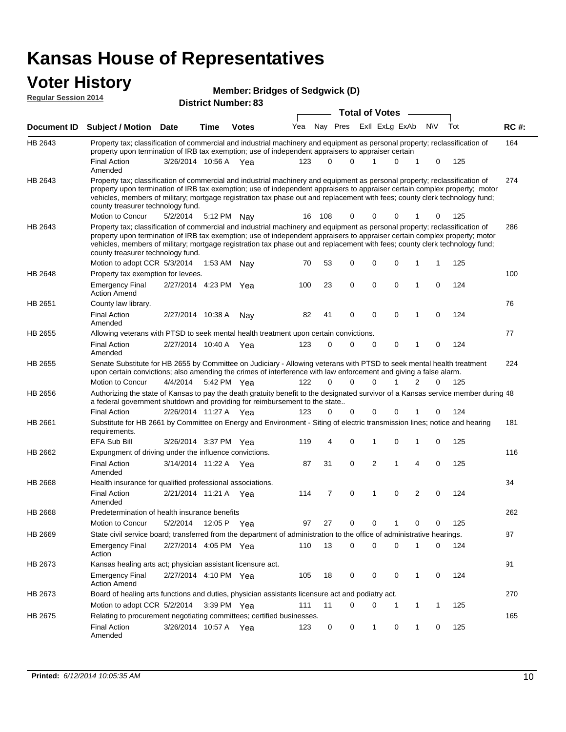## **Voter History**

| <b>Member: Bridges of Sedgwick (D)</b> |
|----------------------------------------|
|                                        |

| <b>Regular Session 2014</b> |                                                                                                                                                                                                                                                                                                                                                                                                                                                               | <b>District Number: 83</b> |             |              |     |          |             |   |                       |                   |             |     |             |
|-----------------------------|---------------------------------------------------------------------------------------------------------------------------------------------------------------------------------------------------------------------------------------------------------------------------------------------------------------------------------------------------------------------------------------------------------------------------------------------------------------|----------------------------|-------------|--------------|-----|----------|-------------|---|-----------------------|-------------------|-------------|-----|-------------|
|                             |                                                                                                                                                                                                                                                                                                                                                                                                                                                               |                            |             |              |     |          |             |   | <b>Total of Votes</b> |                   |             |     |             |
| Document ID                 | <b>Subject / Motion Date</b>                                                                                                                                                                                                                                                                                                                                                                                                                                  |                            | Time        | <b>Votes</b> | Yea |          | Nay Pres    |   |                       | Exll ExLg ExAb    | <b>NV</b>   | Tot | <b>RC#:</b> |
| HB 2643                     | Property tax; classification of commercial and industrial machinery and equipment as personal property; reclassification of<br>property upon termination of IRB tax exemption; use of independent appraisers to appraiser certain<br><b>Final Action</b>                                                                                                                                                                                                      | 3/26/2014 10:56 A Yea      |             |              | 123 | $\Omega$ | $\Omega$    |   |                       | 0<br>1            | 0           | 125 | 164         |
| HB 2643                     | Amended<br>Property tax; classification of commercial and industrial machinery and equipment as personal property; reclassification of<br>property upon termination of IRB tax exemption; use of independent appraisers to appraiser certain complex property; motor<br>vehicles, members of military; mortgage registration tax phase out and replacement with fees; county clerk technology fund;<br>county treasurer technology fund.                      |                            |             |              |     |          |             |   |                       |                   |             |     | 274         |
|                             | Motion to Concur                                                                                                                                                                                                                                                                                                                                                                                                                                              | 5/2/2014                   | 5:12 PM Nay |              | 16  | 108      | 0           |   | 0                     | 0                 | 0           | 125 |             |
| HB 2643                     | Property tax; classification of commercial and industrial machinery and equipment as personal property; reclassification of<br>property upon termination of IRB tax exemption; use of independent appraisers to appraiser certain complex property; motor<br>vehicles, members of military; mortgage registration tax phase out and replacement with fees; county clerk technology fund;<br>county treasurer technology fund.<br>Motion to adopt CCR 5/3/2014 |                            | 1:53 AM     | Nay          | 70  | 53       | 0           |   | $\mathbf 0$           | 0<br>1            | 1           | 125 | 286         |
| HB 2648                     | Property tax exemption for levees.                                                                                                                                                                                                                                                                                                                                                                                                                            |                            |             |              |     |          |             |   |                       |                   |             |     | 100         |
|                             | <b>Emergency Final</b><br><b>Action Amend</b>                                                                                                                                                                                                                                                                                                                                                                                                                 | 2/27/2014 4:23 PM Yea      |             |              | 100 | 23       | $\mathbf 0$ |   | $\mathbf 0$           | $\mathbf 0$<br>1  | $\mathbf 0$ | 124 |             |
| HB 2651                     | County law library.<br><b>Final Action</b><br>Amended                                                                                                                                                                                                                                                                                                                                                                                                         | 2/27/2014 10:38 A          |             | Nay          | 82  | 41       | 0           |   | $\mathbf 0$           | $\mathbf 0$<br>1  | 0           | 124 | 76          |
| HB 2655                     | Allowing veterans with PTSD to seek mental health treatment upon certain convictions.                                                                                                                                                                                                                                                                                                                                                                         |                            |             |              |     |          |             |   |                       |                   |             |     | 77          |
|                             | <b>Final Action</b><br>Amended                                                                                                                                                                                                                                                                                                                                                                                                                                | 2/27/2014 10:40 A          |             | Yea          | 123 | $\Omega$ | 0           |   | 0                     | 0<br>1            | 0           | 124 |             |
| HB 2655                     | Senate Substitute for HB 2655 by Committee on Judiciary - Allowing veterans with PTSD to seek mental health treatment<br>upon certain convictions; also amending the crimes of interference with law enforcement and giving a false alarm.                                                                                                                                                                                                                    |                            |             |              |     |          |             |   |                       |                   |             |     | 224         |
|                             | Motion to Concur                                                                                                                                                                                                                                                                                                                                                                                                                                              | 4/4/2014                   | 5:42 PM Yea |              | 122 | $\Omega$ | $\Omega$    |   | $\Omega$              | $\mathbf{1}$<br>2 | $\Omega$    | 125 |             |
| HB 2656                     | Authorizing the state of Kansas to pay the death gratuity benefit to the designated survivor of a Kansas service member during 48<br>a federal government shutdown and providing for reimbursement to the state                                                                                                                                                                                                                                               |                            |             |              |     |          |             |   |                       |                   |             |     |             |
|                             | <b>Final Action</b>                                                                                                                                                                                                                                                                                                                                                                                                                                           | 2/26/2014 11:27 A Yea      |             |              | 123 | 0        | 0           |   | 0                     | 0                 | 0           | 124 |             |
| HB 2661                     | Substitute for HB 2661 by Committee on Energy and Environment - Siting of electric transmission lines; notice and hearing<br>requirements.                                                                                                                                                                                                                                                                                                                    |                            |             |              |     |          |             |   |                       |                   |             |     | 181         |
|                             | <b>EFA Sub Bill</b><br>Expungment of driving under the influence convictions.                                                                                                                                                                                                                                                                                                                                                                                 | 3/26/2014 3:37 PM          |             | Yea          | 119 | 4        | 0           | 1 |                       | $\mathbf 0$<br>1  | $\mathbf 0$ | 125 |             |
| HB 2662                     | <b>Final Action</b><br>Amended                                                                                                                                                                                                                                                                                                                                                                                                                                | 3/14/2014 11:22 A          |             | Yea          | 87  | 31       | 0           |   | $\overline{2}$        | 1<br>4            | $\mathbf 0$ | 125 | 116         |
| HB 2668                     | Health insurance for qualified professional associations.                                                                                                                                                                                                                                                                                                                                                                                                     |                            |             |              |     |          |             |   |                       |                   |             |     | 34          |
|                             | <b>Final Action</b><br>Amended                                                                                                                                                                                                                                                                                                                                                                                                                                | 2/21/2014 11:21 A Yea      |             |              | 114 | 7        | 0           | 1 |                       | $\mathbf 0$<br>2  | 0           | 124 |             |
| HB 2668                     | Predetermination of health insurance benefits                                                                                                                                                                                                                                                                                                                                                                                                                 |                            |             |              |     |          |             |   |                       |                   |             |     | 262         |
|                             | Motion to Concur                                                                                                                                                                                                                                                                                                                                                                                                                                              | 5/2/2014                   | 12:05 P     | Yea          | 97  | 27       | 0           |   | 0                     | 0<br>1            | 0           | 125 |             |
| HB 2669                     | State civil service board; transferred from the department of administration to the office of administrative hearings.                                                                                                                                                                                                                                                                                                                                        |                            |             |              |     |          |             |   |                       |                   |             |     | 87          |
|                             | <b>Emergency Final</b><br>Action                                                                                                                                                                                                                                                                                                                                                                                                                              | 2/27/2014 4:05 PM Yea      |             |              | 110 | 13       | 0           |   | 0                     | 0<br>1            | 0           | 124 |             |
| HB 2673                     | Kansas healing arts act; physician assistant licensure act.                                                                                                                                                                                                                                                                                                                                                                                                   |                            |             |              |     |          |             |   |                       |                   |             |     | 91          |
|                             | <b>Emergency Final</b><br><b>Action Amend</b>                                                                                                                                                                                                                                                                                                                                                                                                                 | 2/27/2014 4:10 PM Yea      |             |              | 105 | 18       | 0           |   | 0                     | 0<br>1            | 0           | 124 |             |
| HB 2673                     | Board of healing arts functions and duties, physician assistants licensure act and podiatry act.                                                                                                                                                                                                                                                                                                                                                              |                            |             |              |     |          |             |   |                       |                   |             |     | 270         |
|                             | Motion to adopt CCR 5/2/2014 3:39 PM Yea                                                                                                                                                                                                                                                                                                                                                                                                                      |                            |             |              | 111 | 11       | $\Omega$    |   | 0                     | $\mathbf 1$<br>1  | 1           | 125 |             |
| HB 2675                     | Relating to procurement negotiating committees; certified businesses.                                                                                                                                                                                                                                                                                                                                                                                         |                            |             |              |     |          |             |   |                       |                   |             |     | 165         |
|                             | <b>Final Action</b><br>Amended                                                                                                                                                                                                                                                                                                                                                                                                                                | 3/26/2014 10:57 A Yea      |             |              | 123 | 0        | 0           |   | 1                     | 0<br>$\mathbf{1}$ | 0           | 125 |             |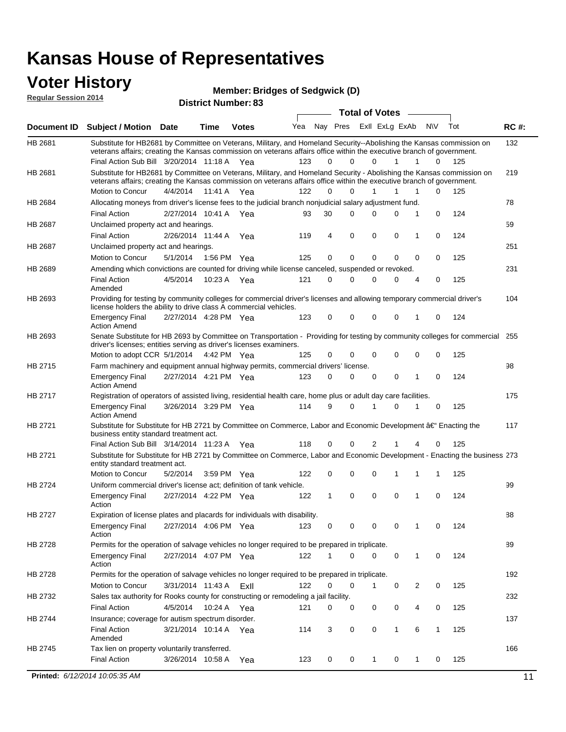#### **Voter History Regular Session 2014**

**Bridges of Sedgwick (D)**

| nuyurur Uuddiun Luin |                                                                                                                                                                                                                                                                                               |                       |         | <b>District Number: 83</b> |     |             |             |                       |                |                  |     |             |
|----------------------|-----------------------------------------------------------------------------------------------------------------------------------------------------------------------------------------------------------------------------------------------------------------------------------------------|-----------------------|---------|----------------------------|-----|-------------|-------------|-----------------------|----------------|------------------|-----|-------------|
|                      |                                                                                                                                                                                                                                                                                               |                       |         |                            |     |             |             | <b>Total of Votes</b> |                |                  |     |             |
| <b>Document ID</b>   | <b>Subject / Motion Date</b>                                                                                                                                                                                                                                                                  |                       | Time    | <b>Votes</b>               | Yea |             | Nay Pres    |                       | ExII ExLg ExAb | N\V              | Tot | <b>RC#:</b> |
| HB 2681              | Substitute for HB2681 by Committee on Veterans, Military, and Homeland Security--Abolishing the Kansas commission on<br>veterans affairs; creating the Kansas commission on veterans affairs office within the executive branch of government.<br>Final Action Sub Bill 3/20/2014 11:18 A Yea |                       |         |                            | 123 | 0           | $\Omega$    | 0                     | 1              | 1<br>0           | 125 | 132         |
|                      |                                                                                                                                                                                                                                                                                               |                       |         |                            |     |             |             |                       |                |                  |     |             |
| HB 2681              | Substitute for HB2681 by Committee on Veterans, Military, and Homeland Security - Abolishing the Kansas commission on<br>veterans affairs; creating the Kansas commission on veterans affairs office within the executive branch of government.                                               |                       |         |                            |     |             |             |                       |                |                  |     | 219         |
|                      | Motion to Concur                                                                                                                                                                                                                                                                              | 4/4/2014              | 11:41 A | Yea                        | 122 | $\Omega$    | 0           | $\mathbf{1}$          | 1<br>1         | 0                | 125 |             |
| HB 2684              | Allocating moneys from driver's license fees to the judicial branch nonjudicial salary adjustment fund.                                                                                                                                                                                       |                       |         |                            |     |             |             |                       |                |                  |     | 78          |
|                      | <b>Final Action</b>                                                                                                                                                                                                                                                                           | 2/27/2014 10:41 A     |         | Yea                        | 93  | 30          | $\Omega$    | $\Omega$              | 0              | 1<br>0           | 124 |             |
| HB 2687              | Unclaimed property act and hearings.                                                                                                                                                                                                                                                          |                       |         |                            |     |             |             |                       |                |                  |     | 59          |
|                      | <b>Final Action</b>                                                                                                                                                                                                                                                                           | 2/26/2014 11:44 A     |         | Yea                        | 119 | 4           | $\mathbf 0$ | 0                     | 0              | 0<br>1           | 124 |             |
| HB 2687              | Unclaimed property act and hearings.                                                                                                                                                                                                                                                          |                       |         |                            |     |             |             |                       |                |                  |     | 251         |
|                      | Motion to Concur                                                                                                                                                                                                                                                                              | 5/1/2014              | 1:56 PM | Yea                        | 125 | 0           | $\mathbf 0$ | 0                     | 0              | 0<br>0           | 125 |             |
| HB 2689              | Amending which convictions are counted for driving while license canceled, suspended or revoked.                                                                                                                                                                                              |                       |         |                            |     |             |             |                       |                |                  |     | 231         |
|                      | <b>Final Action</b><br>Amended                                                                                                                                                                                                                                                                | 4/5/2014              | 10:23 A | Yea                        | 121 | $\mathbf 0$ | $\Omega$    | $\Omega$              | 0              | 0<br>4           | 125 |             |
| HB 2693              | Providing for testing by community colleges for commercial driver's licenses and allowing temporary commercial driver's<br>license holders the ability to drive class A commercial vehicles.                                                                                                  |                       |         |                            |     |             |             |                       |                |                  |     | 104         |
|                      | <b>Emergency Final</b><br><b>Action Amend</b>                                                                                                                                                                                                                                                 | 2/27/2014 4:28 PM Yea |         |                            | 123 | 0           | 0           | $\Omega$              | 0              | $\mathbf 0$<br>1 | 124 |             |
| HB 2693              | Senate Substitute for HB 2693 by Committee on Transportation - Providing for testing by community colleges for commercial<br>driver's licenses; entities serving as driver's licenses examiners.                                                                                              |                       |         |                            |     |             |             |                       |                |                  |     | 255         |
|                      | Motion to adopt CCR 5/1/2014 4:42 PM Yea                                                                                                                                                                                                                                                      |                       |         |                            | 125 | 0           | 0           | $\Omega$              | 0              | 0<br>0           | 125 |             |
| HB 2715              | Farm machinery and equipment annual highway permits, commercial drivers' license.                                                                                                                                                                                                             |                       |         |                            |     |             |             |                       |                |                  |     | 98          |
|                      | <b>Emergency Final</b><br><b>Action Amend</b>                                                                                                                                                                                                                                                 | 2/27/2014 4:21 PM Yea |         |                            | 123 | 0           | 0           | 0                     | 0              | 1<br>0           | 124 |             |
| HB 2717              | Registration of operators of assisted living, residential health care, home plus or adult day care facilities.                                                                                                                                                                                |                       |         |                            |     |             |             |                       |                |                  |     | 175         |
|                      | <b>Emergency Final</b><br><b>Action Amend</b>                                                                                                                                                                                                                                                 | 3/26/2014 3:29 PM Yea |         |                            | 114 | 9           | 0           |                       | $\Omega$       | 0                | 125 |             |
| HB 2721              | Substitute for Substitute for HB 2721 by Committee on Commerce, Labor and Economic Development †Enacting the<br>business entity standard treatment act.                                                                                                                                       |                       |         |                            |     |             |             |                       |                |                  |     | 117         |
|                      | Final Action Sub Bill 3/14/2014 11:23 A Yea                                                                                                                                                                                                                                                   |                       |         |                            | 118 | 0           | 0           | 2                     |                | 0<br>4           | 125 |             |
| HB 2721              | Substitute for Substitute for HB 2721 by Committee on Commerce, Labor and Economic Development - Enacting the business 273<br>entity standard treatment act.                                                                                                                                  |                       |         |                            |     |             |             |                       |                |                  |     |             |
|                      | Motion to Concur                                                                                                                                                                                                                                                                              | 5/2/2014              |         | 3:59 PM Yea                | 122 | 0           | 0           | $\Omega$              |                | 1<br>1           | 125 |             |
| HB 2724              | Uniform commercial driver's license act; definition of tank vehicle.                                                                                                                                                                                                                          |                       |         |                            |     |             |             |                       |                |                  |     | 99          |
|                      | <b>Emergency Final</b><br>Action                                                                                                                                                                                                                                                              | 2/27/2014 4:22 PM Yea |         |                            | 122 | 1           | 0           | 0                     | 0              | 1<br>0           | 124 |             |
| HB 2727              | Expiration of license plates and placards for individuals with disability.                                                                                                                                                                                                                    |                       |         |                            |     |             |             |                       |                |                  |     | 88          |
|                      | <b>Emergency Final</b><br>Action                                                                                                                                                                                                                                                              | 2/27/2014 4:06 PM Yea |         |                            | 123 | 0           | 0           | 0                     | 0              | 0<br>1           | 124 |             |
| HB 2728              | Permits for the operation of salvage vehicles no longer required to be prepared in triplicate.                                                                                                                                                                                                |                       |         |                            |     |             |             |                       |                |                  |     | 89          |
|                      | <b>Emergency Final</b><br>Action                                                                                                                                                                                                                                                              | 2/27/2014 4:07 PM Yea |         |                            | 122 | 1           | 0           | $\Omega$              | 0              | 1<br>0           | 124 |             |
| HB 2728              | Permits for the operation of salvage vehicles no longer required to be prepared in triplicate.                                                                                                                                                                                                |                       |         |                            |     |             |             |                       |                |                  |     | 192         |
|                      | Motion to Concur                                                                                                                                                                                                                                                                              | 3/31/2014 11:43 A     |         | ExII                       | 122 | 0           | 0           | 1                     | 0              | 2<br>0           | 125 |             |
| HB 2732              | Sales tax authority for Rooks county for constructing or remodeling a jail facility.                                                                                                                                                                                                          |                       |         |                            |     |             |             |                       |                |                  |     | 232         |
|                      | <b>Final Action</b>                                                                                                                                                                                                                                                                           | 4/5/2014              |         | 10:24 A Yea                | 121 | 0           | 0           | 0                     | 0              | 4<br>0           | 125 |             |
| HB 2744              | Insurance; coverage for autism spectrum disorder.                                                                                                                                                                                                                                             |                       |         |                            |     |             |             |                       |                |                  |     | 137         |
|                      | <b>Final Action</b><br>Amended                                                                                                                                                                                                                                                                | 3/21/2014 10:14 A Yea |         |                            | 114 | 3           | 0           | 0                     | $\mathbf{1}$   | 6<br>1           | 125 |             |
| HB 2745              | Tax lien on property voluntarily transferred.                                                                                                                                                                                                                                                 |                       |         |                            |     |             |             |                       |                |                  |     | 166         |
|                      | <b>Final Action</b>                                                                                                                                                                                                                                                                           | 3/26/2014 10:58 A     |         | Yea                        | 123 | 0           | 0           | $\mathbf{1}$          | 0              | 1<br>0           | 125 |             |
|                      |                                                                                                                                                                                                                                                                                               |                       |         |                            |     |             |             |                       |                |                  |     |             |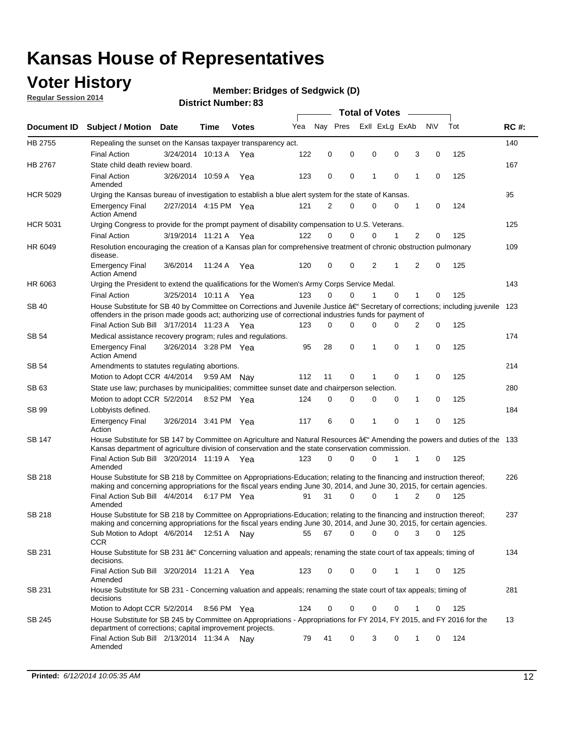## **Voter History**

**Regular Session 2014**

#### **Bridges of Sedgwick (D)**

| Exll ExLg ExAb<br>Nav Pres<br><b>NV</b><br>Tot<br>Yea<br><b>RC#:</b><br>Document ID<br><b>Subject / Motion Date</b><br>Time<br><b>Votes</b><br>HB 2755<br>140<br>Repealing the sunset on the Kansas taxpayer transparency act.<br>122<br>$\mathbf 0$<br>0<br>0<br>0<br>3<br>0<br>125<br><b>Final Action</b><br>3/24/2014 10:13 A<br>Yea<br>HB 2767<br>State child death review board.<br>167<br><b>Final Action</b><br>3/26/2014 10:59 A<br>123<br>0<br>0<br>1<br>$\mathbf 0$<br>1<br>$\mathbf 0$<br>125<br>Yea<br>Amended<br>95<br><b>HCR 5029</b><br>Urging the Kansas bureau of investigation to establish a blue alert system for the state of Kansas.<br>2<br>2/27/2014 4:15 PM Yea<br>121<br>0<br>$\mathbf 0$<br>0<br>1<br>0<br>124<br><b>Emergency Final</b><br><b>Action Amend</b><br>125<br><b>HCR 5031</b><br>Urging Congress to provide for the prompt payment of disability compensation to U.S. Veterans.<br>122<br>$\Omega$<br>$\Omega$<br>0<br>1<br>2<br>125<br><b>Final Action</b><br>3/19/2014 11:21 A Yea<br>0<br>109<br>HR 6049<br>Resolution encouraging the creation of a Kansas plan for comprehensive treatment of chronic obstruction pulmonary<br>disease.<br>2<br>2<br>125<br>120<br>$\mathbf 0$<br>0<br>1<br>$\mathbf 0$<br><b>Emergency Final</b><br>3/6/2014<br>11:24 A<br>Yea<br><b>Action Amend</b><br>HR 6063<br>Urging the President to extend the qualifications for the Women's Army Corps Service Medal.<br>143<br>$\Omega$<br>123<br>0<br>1<br>$\Omega$<br>1<br>125<br><b>Final Action</b><br>3/25/2014 10:11 A Yea<br>0<br>House Substitute for SB 40 by Committee on Corrections and Juvenile Justice †Secretary of corrections; including juvenile<br><b>SB 40</b><br>123<br>offenders in the prison made goods act; authorizing use of correctional industries funds for payment of<br>Final Action Sub Bill 3/17/2014 11:23 A Yea<br>0<br>0<br>125<br>123<br>0<br>0<br>0<br>2<br><b>SB 54</b><br>174<br>Medical assistance recovery program; rules and regulations.<br>3/26/2014 3:28 PM Yea<br>95<br>28<br>0<br>1<br>0<br>1<br>$\mathbf 0$<br>125<br><b>Emergency Final</b><br><b>Action Amend</b><br><b>SB 54</b><br>214<br>Amendments to statutes regulating abortions.<br>112<br>11<br>0<br>0<br>1<br>0<br>125<br>Motion to Adopt CCR 4/4/2014<br>9:59 AM<br>Nay<br>1<br>State use law; purchases by municipalities; committee sunset date and chairperson selection.<br>280<br>SB 63<br>$\mathbf 0$<br>0<br>0<br>125<br>Motion to adopt CCR 5/2/2014<br>8:52 PM Yea<br>124<br>0<br>0<br>1<br>184<br>SB 99<br>Lobbyists defined.<br>6<br>0<br>0<br>1<br>$\mathbf 0$<br>125<br><b>Emergency Final</b><br>3/26/2014 3:41 PM Yea<br>117<br>1<br>Action<br>House Substitute for SB 147 by Committee on Agriculture and Natural Resources †Amending the powers and duties of the 133<br>SB 147<br>Kansas department of agriculture division of conservation and the state conservation commission.<br>0<br>125<br>Final Action Sub Bill 3/20/2014 11:19 A Yea<br>123<br>$\Omega$<br>0<br>1<br>1<br>0<br>Amended<br><b>SB 218</b><br>House Substitute for SB 218 by Committee on Appropriations-Education; relating to the financing and instruction thereof;<br>226<br>making and concerning appropriations for the fiscal years ending June 30, 2014, and June 30, 2015, for certain agencies.<br>Final Action Sub Bill 4/4/2014<br>31<br>0<br>0<br>2<br>$\Omega$<br>125<br>6:17 PM Yea<br>91<br>1<br>Amended<br><b>SB 218</b><br>House Substitute for SB 218 by Committee on Appropriations-Education; relating to the financing and instruction thereof;<br>237<br>making and concerning appropriations for the fiscal years ending June 30, 2014, and June 30, 2015, for certain agencies.<br>67<br>0<br>0<br>Sub Motion to Adopt 4/6/2014 12:51 A Nay<br>55<br>0<br>3<br>0<br>125<br><b>CCR</b><br>SB 231<br>134<br>House Substitute for SB 231 †Concerning valuation and appeals; renaming the state court of tax appeals; timing of<br>decisions.<br>Final Action Sub Bill 3/20/2014 11:21 A Yea<br>0<br>0<br>0<br>125<br>123<br>1<br>1<br>0<br>Amended<br>SB 231<br>House Substitute for SB 231 - Concerning valuation and appeals; renaming the state court of tax appeals; timing of<br>281<br>decisions<br>Motion to Adopt CCR 5/2/2014<br>0<br>0<br>125<br>8:56 PM Yea<br>124<br>0<br>0<br>1<br>0<br>House Substitute for SB 245 by Committee on Appropriations - Appropriations for FY 2014, FY 2015, and FY 2016 for the<br>SB 245<br>13<br>department of corrections; capital improvement projects.<br>Final Action Sub Bill 2/13/2014 11:34 A<br>124<br>79<br>41<br>0<br>3<br>0<br>1<br>0<br>Nav<br>Amended |  |  |  |  |  | <b>Total of Votes</b> |  |  |  |  |  |  |  |  |
|----------------------------------------------------------------------------------------------------------------------------------------------------------------------------------------------------------------------------------------------------------------------------------------------------------------------------------------------------------------------------------------------------------------------------------------------------------------------------------------------------------------------------------------------------------------------------------------------------------------------------------------------------------------------------------------------------------------------------------------------------------------------------------------------------------------------------------------------------------------------------------------------------------------------------------------------------------------------------------------------------------------------------------------------------------------------------------------------------------------------------------------------------------------------------------------------------------------------------------------------------------------------------------------------------------------------------------------------------------------------------------------------------------------------------------------------------------------------------------------------------------------------------------------------------------------------------------------------------------------------------------------------------------------------------------------------------------------------------------------------------------------------------------------------------------------------------------------------------------------------------------------------------------------------------------------------------------------------------------------------------------------------------------------------------------------------------------------------------------------------------------------------------------------------------------------------------------------------------------------------------------------------------------------------------------------------------------------------------------------------------------------------------------------------------------------------------------------------------------------------------------------------------------------------------------------------------------------------------------------------------------------------------------------------------------------------------------------------------------------------------------------------------------------------------------------------------------------------------------------------------------------------------------------------------------------------------------------------------------------------------------------------------------------------------------------------------------------------------------------------------------------------------------------------------------------------------------------------------------------------------------------------------------------------------------------------------------------------------------------------------------------------------------------------------------------------------------------------------------------------------------------------------------------------------------------------------------------------------------------------------------------------------------------------------------------------------------------------------------------------------------------------------------------------------------------------------------------------------------------------------------------------------------------------------------------------------------------------------------------------------------------------------------------------------------------------------------------------------------------------------------------------------------------------------------------------------------------------------------------------------------------------------------------------------------------------------------------------------------------------------------------------------------------------------------------------------------------------------------------------------------------------------------------------------------------------------------------------------------------------------------------------------------------------|--|--|--|--|--|-----------------------|--|--|--|--|--|--|--|--|
|                                                                                                                                                                                                                                                                                                                                                                                                                                                                                                                                                                                                                                                                                                                                                                                                                                                                                                                                                                                                                                                                                                                                                                                                                                                                                                                                                                                                                                                                                                                                                                                                                                                                                                                                                                                                                                                                                                                                                                                                                                                                                                                                                                                                                                                                                                                                                                                                                                                                                                                                                                                                                                                                                                                                                                                                                                                                                                                                                                                                                                                                                                                                                                                                                                                                                                                                                                                                                                                                                                                                                                                                                                                                                                                                                                                                                                                                                                                                                                                                                                                                                                                                                                                                                                                                                                                                                                                                                                                                                                                                                                                                                                                                      |  |  |  |  |  |                       |  |  |  |  |  |  |  |  |
|                                                                                                                                                                                                                                                                                                                                                                                                                                                                                                                                                                                                                                                                                                                                                                                                                                                                                                                                                                                                                                                                                                                                                                                                                                                                                                                                                                                                                                                                                                                                                                                                                                                                                                                                                                                                                                                                                                                                                                                                                                                                                                                                                                                                                                                                                                                                                                                                                                                                                                                                                                                                                                                                                                                                                                                                                                                                                                                                                                                                                                                                                                                                                                                                                                                                                                                                                                                                                                                                                                                                                                                                                                                                                                                                                                                                                                                                                                                                                                                                                                                                                                                                                                                                                                                                                                                                                                                                                                                                                                                                                                                                                                                                      |  |  |  |  |  |                       |  |  |  |  |  |  |  |  |
|                                                                                                                                                                                                                                                                                                                                                                                                                                                                                                                                                                                                                                                                                                                                                                                                                                                                                                                                                                                                                                                                                                                                                                                                                                                                                                                                                                                                                                                                                                                                                                                                                                                                                                                                                                                                                                                                                                                                                                                                                                                                                                                                                                                                                                                                                                                                                                                                                                                                                                                                                                                                                                                                                                                                                                                                                                                                                                                                                                                                                                                                                                                                                                                                                                                                                                                                                                                                                                                                                                                                                                                                                                                                                                                                                                                                                                                                                                                                                                                                                                                                                                                                                                                                                                                                                                                                                                                                                                                                                                                                                                                                                                                                      |  |  |  |  |  |                       |  |  |  |  |  |  |  |  |
|                                                                                                                                                                                                                                                                                                                                                                                                                                                                                                                                                                                                                                                                                                                                                                                                                                                                                                                                                                                                                                                                                                                                                                                                                                                                                                                                                                                                                                                                                                                                                                                                                                                                                                                                                                                                                                                                                                                                                                                                                                                                                                                                                                                                                                                                                                                                                                                                                                                                                                                                                                                                                                                                                                                                                                                                                                                                                                                                                                                                                                                                                                                                                                                                                                                                                                                                                                                                                                                                                                                                                                                                                                                                                                                                                                                                                                                                                                                                                                                                                                                                                                                                                                                                                                                                                                                                                                                                                                                                                                                                                                                                                                                                      |  |  |  |  |  |                       |  |  |  |  |  |  |  |  |
|                                                                                                                                                                                                                                                                                                                                                                                                                                                                                                                                                                                                                                                                                                                                                                                                                                                                                                                                                                                                                                                                                                                                                                                                                                                                                                                                                                                                                                                                                                                                                                                                                                                                                                                                                                                                                                                                                                                                                                                                                                                                                                                                                                                                                                                                                                                                                                                                                                                                                                                                                                                                                                                                                                                                                                                                                                                                                                                                                                                                                                                                                                                                                                                                                                                                                                                                                                                                                                                                                                                                                                                                                                                                                                                                                                                                                                                                                                                                                                                                                                                                                                                                                                                                                                                                                                                                                                                                                                                                                                                                                                                                                                                                      |  |  |  |  |  |                       |  |  |  |  |  |  |  |  |
|                                                                                                                                                                                                                                                                                                                                                                                                                                                                                                                                                                                                                                                                                                                                                                                                                                                                                                                                                                                                                                                                                                                                                                                                                                                                                                                                                                                                                                                                                                                                                                                                                                                                                                                                                                                                                                                                                                                                                                                                                                                                                                                                                                                                                                                                                                                                                                                                                                                                                                                                                                                                                                                                                                                                                                                                                                                                                                                                                                                                                                                                                                                                                                                                                                                                                                                                                                                                                                                                                                                                                                                                                                                                                                                                                                                                                                                                                                                                                                                                                                                                                                                                                                                                                                                                                                                                                                                                                                                                                                                                                                                                                                                                      |  |  |  |  |  |                       |  |  |  |  |  |  |  |  |
|                                                                                                                                                                                                                                                                                                                                                                                                                                                                                                                                                                                                                                                                                                                                                                                                                                                                                                                                                                                                                                                                                                                                                                                                                                                                                                                                                                                                                                                                                                                                                                                                                                                                                                                                                                                                                                                                                                                                                                                                                                                                                                                                                                                                                                                                                                                                                                                                                                                                                                                                                                                                                                                                                                                                                                                                                                                                                                                                                                                                                                                                                                                                                                                                                                                                                                                                                                                                                                                                                                                                                                                                                                                                                                                                                                                                                                                                                                                                                                                                                                                                                                                                                                                                                                                                                                                                                                                                                                                                                                                                                                                                                                                                      |  |  |  |  |  |                       |  |  |  |  |  |  |  |  |
|                                                                                                                                                                                                                                                                                                                                                                                                                                                                                                                                                                                                                                                                                                                                                                                                                                                                                                                                                                                                                                                                                                                                                                                                                                                                                                                                                                                                                                                                                                                                                                                                                                                                                                                                                                                                                                                                                                                                                                                                                                                                                                                                                                                                                                                                                                                                                                                                                                                                                                                                                                                                                                                                                                                                                                                                                                                                                                                                                                                                                                                                                                                                                                                                                                                                                                                                                                                                                                                                                                                                                                                                                                                                                                                                                                                                                                                                                                                                                                                                                                                                                                                                                                                                                                                                                                                                                                                                                                                                                                                                                                                                                                                                      |  |  |  |  |  |                       |  |  |  |  |  |  |  |  |
|                                                                                                                                                                                                                                                                                                                                                                                                                                                                                                                                                                                                                                                                                                                                                                                                                                                                                                                                                                                                                                                                                                                                                                                                                                                                                                                                                                                                                                                                                                                                                                                                                                                                                                                                                                                                                                                                                                                                                                                                                                                                                                                                                                                                                                                                                                                                                                                                                                                                                                                                                                                                                                                                                                                                                                                                                                                                                                                                                                                                                                                                                                                                                                                                                                                                                                                                                                                                                                                                                                                                                                                                                                                                                                                                                                                                                                                                                                                                                                                                                                                                                                                                                                                                                                                                                                                                                                                                                                                                                                                                                                                                                                                                      |  |  |  |  |  |                       |  |  |  |  |  |  |  |  |
|                                                                                                                                                                                                                                                                                                                                                                                                                                                                                                                                                                                                                                                                                                                                                                                                                                                                                                                                                                                                                                                                                                                                                                                                                                                                                                                                                                                                                                                                                                                                                                                                                                                                                                                                                                                                                                                                                                                                                                                                                                                                                                                                                                                                                                                                                                                                                                                                                                                                                                                                                                                                                                                                                                                                                                                                                                                                                                                                                                                                                                                                                                                                                                                                                                                                                                                                                                                                                                                                                                                                                                                                                                                                                                                                                                                                                                                                                                                                                                                                                                                                                                                                                                                                                                                                                                                                                                                                                                                                                                                                                                                                                                                                      |  |  |  |  |  |                       |  |  |  |  |  |  |  |  |
|                                                                                                                                                                                                                                                                                                                                                                                                                                                                                                                                                                                                                                                                                                                                                                                                                                                                                                                                                                                                                                                                                                                                                                                                                                                                                                                                                                                                                                                                                                                                                                                                                                                                                                                                                                                                                                                                                                                                                                                                                                                                                                                                                                                                                                                                                                                                                                                                                                                                                                                                                                                                                                                                                                                                                                                                                                                                                                                                                                                                                                                                                                                                                                                                                                                                                                                                                                                                                                                                                                                                                                                                                                                                                                                                                                                                                                                                                                                                                                                                                                                                                                                                                                                                                                                                                                                                                                                                                                                                                                                                                                                                                                                                      |  |  |  |  |  |                       |  |  |  |  |  |  |  |  |
|                                                                                                                                                                                                                                                                                                                                                                                                                                                                                                                                                                                                                                                                                                                                                                                                                                                                                                                                                                                                                                                                                                                                                                                                                                                                                                                                                                                                                                                                                                                                                                                                                                                                                                                                                                                                                                                                                                                                                                                                                                                                                                                                                                                                                                                                                                                                                                                                                                                                                                                                                                                                                                                                                                                                                                                                                                                                                                                                                                                                                                                                                                                                                                                                                                                                                                                                                                                                                                                                                                                                                                                                                                                                                                                                                                                                                                                                                                                                                                                                                                                                                                                                                                                                                                                                                                                                                                                                                                                                                                                                                                                                                                                                      |  |  |  |  |  |                       |  |  |  |  |  |  |  |  |
|                                                                                                                                                                                                                                                                                                                                                                                                                                                                                                                                                                                                                                                                                                                                                                                                                                                                                                                                                                                                                                                                                                                                                                                                                                                                                                                                                                                                                                                                                                                                                                                                                                                                                                                                                                                                                                                                                                                                                                                                                                                                                                                                                                                                                                                                                                                                                                                                                                                                                                                                                                                                                                                                                                                                                                                                                                                                                                                                                                                                                                                                                                                                                                                                                                                                                                                                                                                                                                                                                                                                                                                                                                                                                                                                                                                                                                                                                                                                                                                                                                                                                                                                                                                                                                                                                                                                                                                                                                                                                                                                                                                                                                                                      |  |  |  |  |  |                       |  |  |  |  |  |  |  |  |
|                                                                                                                                                                                                                                                                                                                                                                                                                                                                                                                                                                                                                                                                                                                                                                                                                                                                                                                                                                                                                                                                                                                                                                                                                                                                                                                                                                                                                                                                                                                                                                                                                                                                                                                                                                                                                                                                                                                                                                                                                                                                                                                                                                                                                                                                                                                                                                                                                                                                                                                                                                                                                                                                                                                                                                                                                                                                                                                                                                                                                                                                                                                                                                                                                                                                                                                                                                                                                                                                                                                                                                                                                                                                                                                                                                                                                                                                                                                                                                                                                                                                                                                                                                                                                                                                                                                                                                                                                                                                                                                                                                                                                                                                      |  |  |  |  |  |                       |  |  |  |  |  |  |  |  |
|                                                                                                                                                                                                                                                                                                                                                                                                                                                                                                                                                                                                                                                                                                                                                                                                                                                                                                                                                                                                                                                                                                                                                                                                                                                                                                                                                                                                                                                                                                                                                                                                                                                                                                                                                                                                                                                                                                                                                                                                                                                                                                                                                                                                                                                                                                                                                                                                                                                                                                                                                                                                                                                                                                                                                                                                                                                                                                                                                                                                                                                                                                                                                                                                                                                                                                                                                                                                                                                                                                                                                                                                                                                                                                                                                                                                                                                                                                                                                                                                                                                                                                                                                                                                                                                                                                                                                                                                                                                                                                                                                                                                                                                                      |  |  |  |  |  |                       |  |  |  |  |  |  |  |  |
|                                                                                                                                                                                                                                                                                                                                                                                                                                                                                                                                                                                                                                                                                                                                                                                                                                                                                                                                                                                                                                                                                                                                                                                                                                                                                                                                                                                                                                                                                                                                                                                                                                                                                                                                                                                                                                                                                                                                                                                                                                                                                                                                                                                                                                                                                                                                                                                                                                                                                                                                                                                                                                                                                                                                                                                                                                                                                                                                                                                                                                                                                                                                                                                                                                                                                                                                                                                                                                                                                                                                                                                                                                                                                                                                                                                                                                                                                                                                                                                                                                                                                                                                                                                                                                                                                                                                                                                                                                                                                                                                                                                                                                                                      |  |  |  |  |  |                       |  |  |  |  |  |  |  |  |
|                                                                                                                                                                                                                                                                                                                                                                                                                                                                                                                                                                                                                                                                                                                                                                                                                                                                                                                                                                                                                                                                                                                                                                                                                                                                                                                                                                                                                                                                                                                                                                                                                                                                                                                                                                                                                                                                                                                                                                                                                                                                                                                                                                                                                                                                                                                                                                                                                                                                                                                                                                                                                                                                                                                                                                                                                                                                                                                                                                                                                                                                                                                                                                                                                                                                                                                                                                                                                                                                                                                                                                                                                                                                                                                                                                                                                                                                                                                                                                                                                                                                                                                                                                                                                                                                                                                                                                                                                                                                                                                                                                                                                                                                      |  |  |  |  |  |                       |  |  |  |  |  |  |  |  |
|                                                                                                                                                                                                                                                                                                                                                                                                                                                                                                                                                                                                                                                                                                                                                                                                                                                                                                                                                                                                                                                                                                                                                                                                                                                                                                                                                                                                                                                                                                                                                                                                                                                                                                                                                                                                                                                                                                                                                                                                                                                                                                                                                                                                                                                                                                                                                                                                                                                                                                                                                                                                                                                                                                                                                                                                                                                                                                                                                                                                                                                                                                                                                                                                                                                                                                                                                                                                                                                                                                                                                                                                                                                                                                                                                                                                                                                                                                                                                                                                                                                                                                                                                                                                                                                                                                                                                                                                                                                                                                                                                                                                                                                                      |  |  |  |  |  |                       |  |  |  |  |  |  |  |  |
|                                                                                                                                                                                                                                                                                                                                                                                                                                                                                                                                                                                                                                                                                                                                                                                                                                                                                                                                                                                                                                                                                                                                                                                                                                                                                                                                                                                                                                                                                                                                                                                                                                                                                                                                                                                                                                                                                                                                                                                                                                                                                                                                                                                                                                                                                                                                                                                                                                                                                                                                                                                                                                                                                                                                                                                                                                                                                                                                                                                                                                                                                                                                                                                                                                                                                                                                                                                                                                                                                                                                                                                                                                                                                                                                                                                                                                                                                                                                                                                                                                                                                                                                                                                                                                                                                                                                                                                                                                                                                                                                                                                                                                                                      |  |  |  |  |  |                       |  |  |  |  |  |  |  |  |
|                                                                                                                                                                                                                                                                                                                                                                                                                                                                                                                                                                                                                                                                                                                                                                                                                                                                                                                                                                                                                                                                                                                                                                                                                                                                                                                                                                                                                                                                                                                                                                                                                                                                                                                                                                                                                                                                                                                                                                                                                                                                                                                                                                                                                                                                                                                                                                                                                                                                                                                                                                                                                                                                                                                                                                                                                                                                                                                                                                                                                                                                                                                                                                                                                                                                                                                                                                                                                                                                                                                                                                                                                                                                                                                                                                                                                                                                                                                                                                                                                                                                                                                                                                                                                                                                                                                                                                                                                                                                                                                                                                                                                                                                      |  |  |  |  |  |                       |  |  |  |  |  |  |  |  |
|                                                                                                                                                                                                                                                                                                                                                                                                                                                                                                                                                                                                                                                                                                                                                                                                                                                                                                                                                                                                                                                                                                                                                                                                                                                                                                                                                                                                                                                                                                                                                                                                                                                                                                                                                                                                                                                                                                                                                                                                                                                                                                                                                                                                                                                                                                                                                                                                                                                                                                                                                                                                                                                                                                                                                                                                                                                                                                                                                                                                                                                                                                                                                                                                                                                                                                                                                                                                                                                                                                                                                                                                                                                                                                                                                                                                                                                                                                                                                                                                                                                                                                                                                                                                                                                                                                                                                                                                                                                                                                                                                                                                                                                                      |  |  |  |  |  |                       |  |  |  |  |  |  |  |  |
|                                                                                                                                                                                                                                                                                                                                                                                                                                                                                                                                                                                                                                                                                                                                                                                                                                                                                                                                                                                                                                                                                                                                                                                                                                                                                                                                                                                                                                                                                                                                                                                                                                                                                                                                                                                                                                                                                                                                                                                                                                                                                                                                                                                                                                                                                                                                                                                                                                                                                                                                                                                                                                                                                                                                                                                                                                                                                                                                                                                                                                                                                                                                                                                                                                                                                                                                                                                                                                                                                                                                                                                                                                                                                                                                                                                                                                                                                                                                                                                                                                                                                                                                                                                                                                                                                                                                                                                                                                                                                                                                                                                                                                                                      |  |  |  |  |  |                       |  |  |  |  |  |  |  |  |
|                                                                                                                                                                                                                                                                                                                                                                                                                                                                                                                                                                                                                                                                                                                                                                                                                                                                                                                                                                                                                                                                                                                                                                                                                                                                                                                                                                                                                                                                                                                                                                                                                                                                                                                                                                                                                                                                                                                                                                                                                                                                                                                                                                                                                                                                                                                                                                                                                                                                                                                                                                                                                                                                                                                                                                                                                                                                                                                                                                                                                                                                                                                                                                                                                                                                                                                                                                                                                                                                                                                                                                                                                                                                                                                                                                                                                                                                                                                                                                                                                                                                                                                                                                                                                                                                                                                                                                                                                                                                                                                                                                                                                                                                      |  |  |  |  |  |                       |  |  |  |  |  |  |  |  |
|                                                                                                                                                                                                                                                                                                                                                                                                                                                                                                                                                                                                                                                                                                                                                                                                                                                                                                                                                                                                                                                                                                                                                                                                                                                                                                                                                                                                                                                                                                                                                                                                                                                                                                                                                                                                                                                                                                                                                                                                                                                                                                                                                                                                                                                                                                                                                                                                                                                                                                                                                                                                                                                                                                                                                                                                                                                                                                                                                                                                                                                                                                                                                                                                                                                                                                                                                                                                                                                                                                                                                                                                                                                                                                                                                                                                                                                                                                                                                                                                                                                                                                                                                                                                                                                                                                                                                                                                                                                                                                                                                                                                                                                                      |  |  |  |  |  |                       |  |  |  |  |  |  |  |  |
|                                                                                                                                                                                                                                                                                                                                                                                                                                                                                                                                                                                                                                                                                                                                                                                                                                                                                                                                                                                                                                                                                                                                                                                                                                                                                                                                                                                                                                                                                                                                                                                                                                                                                                                                                                                                                                                                                                                                                                                                                                                                                                                                                                                                                                                                                                                                                                                                                                                                                                                                                                                                                                                                                                                                                                                                                                                                                                                                                                                                                                                                                                                                                                                                                                                                                                                                                                                                                                                                                                                                                                                                                                                                                                                                                                                                                                                                                                                                                                                                                                                                                                                                                                                                                                                                                                                                                                                                                                                                                                                                                                                                                                                                      |  |  |  |  |  |                       |  |  |  |  |  |  |  |  |
|                                                                                                                                                                                                                                                                                                                                                                                                                                                                                                                                                                                                                                                                                                                                                                                                                                                                                                                                                                                                                                                                                                                                                                                                                                                                                                                                                                                                                                                                                                                                                                                                                                                                                                                                                                                                                                                                                                                                                                                                                                                                                                                                                                                                                                                                                                                                                                                                                                                                                                                                                                                                                                                                                                                                                                                                                                                                                                                                                                                                                                                                                                                                                                                                                                                                                                                                                                                                                                                                                                                                                                                                                                                                                                                                                                                                                                                                                                                                                                                                                                                                                                                                                                                                                                                                                                                                                                                                                                                                                                                                                                                                                                                                      |  |  |  |  |  |                       |  |  |  |  |  |  |  |  |
|                                                                                                                                                                                                                                                                                                                                                                                                                                                                                                                                                                                                                                                                                                                                                                                                                                                                                                                                                                                                                                                                                                                                                                                                                                                                                                                                                                                                                                                                                                                                                                                                                                                                                                                                                                                                                                                                                                                                                                                                                                                                                                                                                                                                                                                                                                                                                                                                                                                                                                                                                                                                                                                                                                                                                                                                                                                                                                                                                                                                                                                                                                                                                                                                                                                                                                                                                                                                                                                                                                                                                                                                                                                                                                                                                                                                                                                                                                                                                                                                                                                                                                                                                                                                                                                                                                                                                                                                                                                                                                                                                                                                                                                                      |  |  |  |  |  |                       |  |  |  |  |  |  |  |  |
|                                                                                                                                                                                                                                                                                                                                                                                                                                                                                                                                                                                                                                                                                                                                                                                                                                                                                                                                                                                                                                                                                                                                                                                                                                                                                                                                                                                                                                                                                                                                                                                                                                                                                                                                                                                                                                                                                                                                                                                                                                                                                                                                                                                                                                                                                                                                                                                                                                                                                                                                                                                                                                                                                                                                                                                                                                                                                                                                                                                                                                                                                                                                                                                                                                                                                                                                                                                                                                                                                                                                                                                                                                                                                                                                                                                                                                                                                                                                                                                                                                                                                                                                                                                                                                                                                                                                                                                                                                                                                                                                                                                                                                                                      |  |  |  |  |  |                       |  |  |  |  |  |  |  |  |
|                                                                                                                                                                                                                                                                                                                                                                                                                                                                                                                                                                                                                                                                                                                                                                                                                                                                                                                                                                                                                                                                                                                                                                                                                                                                                                                                                                                                                                                                                                                                                                                                                                                                                                                                                                                                                                                                                                                                                                                                                                                                                                                                                                                                                                                                                                                                                                                                                                                                                                                                                                                                                                                                                                                                                                                                                                                                                                                                                                                                                                                                                                                                                                                                                                                                                                                                                                                                                                                                                                                                                                                                                                                                                                                                                                                                                                                                                                                                                                                                                                                                                                                                                                                                                                                                                                                                                                                                                                                                                                                                                                                                                                                                      |  |  |  |  |  |                       |  |  |  |  |  |  |  |  |
|                                                                                                                                                                                                                                                                                                                                                                                                                                                                                                                                                                                                                                                                                                                                                                                                                                                                                                                                                                                                                                                                                                                                                                                                                                                                                                                                                                                                                                                                                                                                                                                                                                                                                                                                                                                                                                                                                                                                                                                                                                                                                                                                                                                                                                                                                                                                                                                                                                                                                                                                                                                                                                                                                                                                                                                                                                                                                                                                                                                                                                                                                                                                                                                                                                                                                                                                                                                                                                                                                                                                                                                                                                                                                                                                                                                                                                                                                                                                                                                                                                                                                                                                                                                                                                                                                                                                                                                                                                                                                                                                                                                                                                                                      |  |  |  |  |  |                       |  |  |  |  |  |  |  |  |
|                                                                                                                                                                                                                                                                                                                                                                                                                                                                                                                                                                                                                                                                                                                                                                                                                                                                                                                                                                                                                                                                                                                                                                                                                                                                                                                                                                                                                                                                                                                                                                                                                                                                                                                                                                                                                                                                                                                                                                                                                                                                                                                                                                                                                                                                                                                                                                                                                                                                                                                                                                                                                                                                                                                                                                                                                                                                                                                                                                                                                                                                                                                                                                                                                                                                                                                                                                                                                                                                                                                                                                                                                                                                                                                                                                                                                                                                                                                                                                                                                                                                                                                                                                                                                                                                                                                                                                                                                                                                                                                                                                                                                                                                      |  |  |  |  |  |                       |  |  |  |  |  |  |  |  |
|                                                                                                                                                                                                                                                                                                                                                                                                                                                                                                                                                                                                                                                                                                                                                                                                                                                                                                                                                                                                                                                                                                                                                                                                                                                                                                                                                                                                                                                                                                                                                                                                                                                                                                                                                                                                                                                                                                                                                                                                                                                                                                                                                                                                                                                                                                                                                                                                                                                                                                                                                                                                                                                                                                                                                                                                                                                                                                                                                                                                                                                                                                                                                                                                                                                                                                                                                                                                                                                                                                                                                                                                                                                                                                                                                                                                                                                                                                                                                                                                                                                                                                                                                                                                                                                                                                                                                                                                                                                                                                                                                                                                                                                                      |  |  |  |  |  |                       |  |  |  |  |  |  |  |  |
|                                                                                                                                                                                                                                                                                                                                                                                                                                                                                                                                                                                                                                                                                                                                                                                                                                                                                                                                                                                                                                                                                                                                                                                                                                                                                                                                                                                                                                                                                                                                                                                                                                                                                                                                                                                                                                                                                                                                                                                                                                                                                                                                                                                                                                                                                                                                                                                                                                                                                                                                                                                                                                                                                                                                                                                                                                                                                                                                                                                                                                                                                                                                                                                                                                                                                                                                                                                                                                                                                                                                                                                                                                                                                                                                                                                                                                                                                                                                                                                                                                                                                                                                                                                                                                                                                                                                                                                                                                                                                                                                                                                                                                                                      |  |  |  |  |  |                       |  |  |  |  |  |  |  |  |
|                                                                                                                                                                                                                                                                                                                                                                                                                                                                                                                                                                                                                                                                                                                                                                                                                                                                                                                                                                                                                                                                                                                                                                                                                                                                                                                                                                                                                                                                                                                                                                                                                                                                                                                                                                                                                                                                                                                                                                                                                                                                                                                                                                                                                                                                                                                                                                                                                                                                                                                                                                                                                                                                                                                                                                                                                                                                                                                                                                                                                                                                                                                                                                                                                                                                                                                                                                                                                                                                                                                                                                                                                                                                                                                                                                                                                                                                                                                                                                                                                                                                                                                                                                                                                                                                                                                                                                                                                                                                                                                                                                                                                                                                      |  |  |  |  |  |                       |  |  |  |  |  |  |  |  |
|                                                                                                                                                                                                                                                                                                                                                                                                                                                                                                                                                                                                                                                                                                                                                                                                                                                                                                                                                                                                                                                                                                                                                                                                                                                                                                                                                                                                                                                                                                                                                                                                                                                                                                                                                                                                                                                                                                                                                                                                                                                                                                                                                                                                                                                                                                                                                                                                                                                                                                                                                                                                                                                                                                                                                                                                                                                                                                                                                                                                                                                                                                                                                                                                                                                                                                                                                                                                                                                                                                                                                                                                                                                                                                                                                                                                                                                                                                                                                                                                                                                                                                                                                                                                                                                                                                                                                                                                                                                                                                                                                                                                                                                                      |  |  |  |  |  |                       |  |  |  |  |  |  |  |  |
|                                                                                                                                                                                                                                                                                                                                                                                                                                                                                                                                                                                                                                                                                                                                                                                                                                                                                                                                                                                                                                                                                                                                                                                                                                                                                                                                                                                                                                                                                                                                                                                                                                                                                                                                                                                                                                                                                                                                                                                                                                                                                                                                                                                                                                                                                                                                                                                                                                                                                                                                                                                                                                                                                                                                                                                                                                                                                                                                                                                                                                                                                                                                                                                                                                                                                                                                                                                                                                                                                                                                                                                                                                                                                                                                                                                                                                                                                                                                                                                                                                                                                                                                                                                                                                                                                                                                                                                                                                                                                                                                                                                                                                                                      |  |  |  |  |  |                       |  |  |  |  |  |  |  |  |
|                                                                                                                                                                                                                                                                                                                                                                                                                                                                                                                                                                                                                                                                                                                                                                                                                                                                                                                                                                                                                                                                                                                                                                                                                                                                                                                                                                                                                                                                                                                                                                                                                                                                                                                                                                                                                                                                                                                                                                                                                                                                                                                                                                                                                                                                                                                                                                                                                                                                                                                                                                                                                                                                                                                                                                                                                                                                                                                                                                                                                                                                                                                                                                                                                                                                                                                                                                                                                                                                                                                                                                                                                                                                                                                                                                                                                                                                                                                                                                                                                                                                                                                                                                                                                                                                                                                                                                                                                                                                                                                                                                                                                                                                      |  |  |  |  |  |                       |  |  |  |  |  |  |  |  |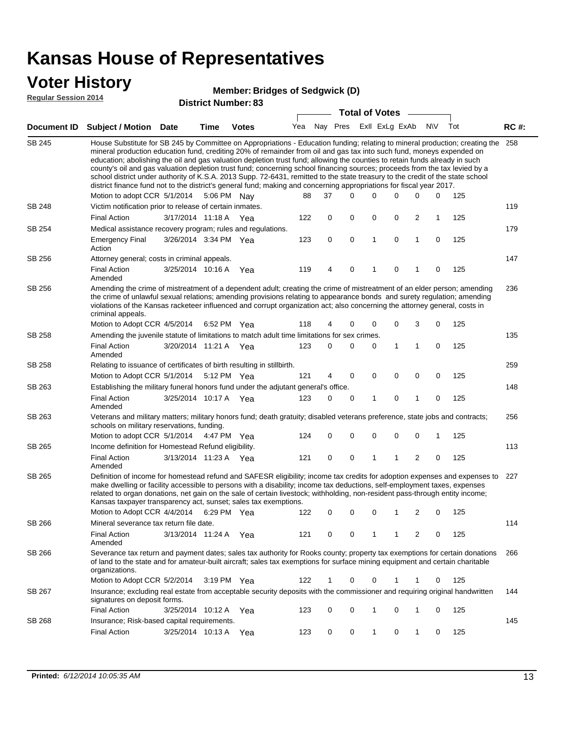$SB$ 

 $SB$ 

 $SB$ 

 $SB$ 

 $SB$ 

 $SB$ 

 $SB$ 

 $SB$ 

 $SB$ 

 $SB$ 

 $SB$ 

SB 266

| <b>Voter History</b><br><b>Regular Session 2014</b> |                                                                                                                                                                                                                                                                                                                                                                                                                                                                                                                                                                                                                                                                                                                                                                                                               |             |                       | <b>Member: Bridges of Sedgwick (D)</b> |     |             |             |             |                |                |            |     |             |
|-----------------------------------------------------|---------------------------------------------------------------------------------------------------------------------------------------------------------------------------------------------------------------------------------------------------------------------------------------------------------------------------------------------------------------------------------------------------------------------------------------------------------------------------------------------------------------------------------------------------------------------------------------------------------------------------------------------------------------------------------------------------------------------------------------------------------------------------------------------------------------|-------------|-----------------------|----------------------------------------|-----|-------------|-------------|-------------|----------------|----------------|------------|-----|-------------|
|                                                     | <b>District Number: 83</b><br><b>Total of Votes</b>                                                                                                                                                                                                                                                                                                                                                                                                                                                                                                                                                                                                                                                                                                                                                           |             |                       |                                        |     |             |             |             |                |                |            |     |             |
| <b>Document ID</b>                                  | <b>Subject / Motion</b>                                                                                                                                                                                                                                                                                                                                                                                                                                                                                                                                                                                                                                                                                                                                                                                       | <b>Date</b> | Time                  | <b>Votes</b>                           | Yea | Nay Pres    |             |             | Exll ExLg ExAb |                | <b>NIV</b> | Tot | <b>RC#:</b> |
| SB 245                                              | House Substitute for SB 245 by Committee on Appropriations - Education funding; relating to mineral production; creating the<br>mineral production education fund, crediting 20% of remainder from oil and gas tax into such fund, moneys expended on<br>education; abolishing the oil and gas valuation depletion trust fund; allowing the counties to retain funds already in such<br>county's oil and gas valuation depletion trust fund; concerning school financing sources; proceeds from the tax levied by a<br>school district under authority of K.S.A. 2013 Supp. 72-6431, remitted to the state treasury to the credit of the state school<br>district finance fund not to the district's general fund; making and concerning appropriations for fiscal year 2017.<br>Motion to adopt CCR 5/1/2014 |             | 5:06 PM Nay           |                                        | 88  | 37          | $\Omega$    | $\Omega$    | 0              | $\Omega$       | $\Omega$   | 125 | 258         |
| SB 248                                              | Victim notification prior to release of certain inmates.                                                                                                                                                                                                                                                                                                                                                                                                                                                                                                                                                                                                                                                                                                                                                      |             |                       |                                        |     |             |             |             |                |                |            |     | 119         |
|                                                     | <b>Final Action</b>                                                                                                                                                                                                                                                                                                                                                                                                                                                                                                                                                                                                                                                                                                                                                                                           |             | 3/17/2014 11:18 A     | Yea                                    | 122 | 0           | $\mathbf 0$ | $\mathbf 0$ | $\mathbf 0$    | $\overline{2}$ | 1          | 125 |             |
| SB 254                                              | Medical assistance recovery program; rules and regulations.                                                                                                                                                                                                                                                                                                                                                                                                                                                                                                                                                                                                                                                                                                                                                   |             |                       |                                        |     |             |             |             |                |                |            |     | 179         |
|                                                     | <b>Emergency Final</b><br>Action                                                                                                                                                                                                                                                                                                                                                                                                                                                                                                                                                                                                                                                                                                                                                                              |             | 3/26/2014 3:34 PM Yea |                                        | 123 | 0           | $\mathbf 0$ | 1           | $\mathbf 0$    | 1              | 0          | 125 |             |
| SB 256                                              | Attorney general; costs in criminal appeals.                                                                                                                                                                                                                                                                                                                                                                                                                                                                                                                                                                                                                                                                                                                                                                  |             |                       |                                        |     |             |             |             |                |                |            |     | 147         |
|                                                     | <b>Final Action</b><br>Amended                                                                                                                                                                                                                                                                                                                                                                                                                                                                                                                                                                                                                                                                                                                                                                                |             | 3/25/2014 10:16 A     | Yea                                    | 119 | 4           | $\Omega$    | 1           | $\Omega$       |                | 0          | 125 |             |
| SB 256                                              | Amending the crime of mistreatment of a dependent adult; creating the crime of mistreatment of an elder person; amending<br>the crime of unlawful sexual relations; amending provisions relating to appearance bonds and surety regulation; amending<br>violations of the Kansas racketeer influenced and corrupt organization act; also concerning the attorney general, costs in<br>criminal appeals.                                                                                                                                                                                                                                                                                                                                                                                                       |             |                       |                                        |     |             |             |             |                |                |            |     | 236         |
|                                                     | Motion to Adopt CCR 4/5/2014                                                                                                                                                                                                                                                                                                                                                                                                                                                                                                                                                                                                                                                                                                                                                                                  |             | 6:52 PM Yea           |                                        | 118 | 4           | $\Omega$    | 0           | 0              | 3              | 0          | 125 |             |
| SB 258                                              | Amending the juvenile statute of limitations to match adult time limitations for sex crimes.<br>135                                                                                                                                                                                                                                                                                                                                                                                                                                                                                                                                                                                                                                                                                                           |             |                       |                                        |     |             |             |             |                |                |            |     |             |
|                                                     | <b>Final Action</b><br>Amended                                                                                                                                                                                                                                                                                                                                                                                                                                                                                                                                                                                                                                                                                                                                                                                |             | 3/20/2014 11:21 A Yea |                                        | 123 | 0           | 0           | 0           | 1              | 1              | 0          | 125 |             |
| SB 258                                              | Relating to issuance of certificates of birth resulting in stillbirth.                                                                                                                                                                                                                                                                                                                                                                                                                                                                                                                                                                                                                                                                                                                                        |             |                       |                                        |     |             |             |             |                |                |            |     | 259         |
|                                                     | Motion to Adopt CCR 5/1/2014 5:12 PM Yea                                                                                                                                                                                                                                                                                                                                                                                                                                                                                                                                                                                                                                                                                                                                                                      |             |                       |                                        | 121 | 4           | $\Omega$    | $\Omega$    | $\mathbf 0$    | $\mathbf 0$    | 0          | 125 |             |
| SB 263                                              | Establishing the military funeral honors fund under the adjutant general's office.                                                                                                                                                                                                                                                                                                                                                                                                                                                                                                                                                                                                                                                                                                                            |             |                       |                                        |     |             |             |             |                |                |            |     | 148         |
|                                                     | <b>Final Action</b><br>Amended                                                                                                                                                                                                                                                                                                                                                                                                                                                                                                                                                                                                                                                                                                                                                                                |             | 3/25/2014 10:17 A     | Yea                                    | 123 | 0           | $\mathbf 0$ | 1           | $\mathbf 0$    | 1              | 0          | 125 |             |
| SB 263                                              | Veterans and military matters; military honors fund; death gratuity; disabled veterans preference, state jobs and contracts;<br>schools on military reservations, funding.                                                                                                                                                                                                                                                                                                                                                                                                                                                                                                                                                                                                                                    |             |                       |                                        |     |             |             |             |                |                |            |     | 256         |
|                                                     | Motion to adopt CCR 5/1/2014 4:47 PM Yea                                                                                                                                                                                                                                                                                                                                                                                                                                                                                                                                                                                                                                                                                                                                                                      |             |                       |                                        | 124 | 0           | 0           | 0           | 0              | 0              | 1          | 125 |             |
| SB 265                                              | Income definition for Homestead Refund eligibility.                                                                                                                                                                                                                                                                                                                                                                                                                                                                                                                                                                                                                                                                                                                                                           |             |                       |                                        |     |             |             |             |                |                |            |     | 113         |
|                                                     | <b>Final Action</b><br>Amended                                                                                                                                                                                                                                                                                                                                                                                                                                                                                                                                                                                                                                                                                                                                                                                |             | 3/13/2014 11:23 A Yea |                                        | 121 | $\mathbf 0$ | $\mathbf 0$ | 1           | 1              | 2              | 0          | 125 |             |
| SB 265                                              | Definition of income for homestead refund and SAFESR eligibility; income tax credits for adoption expenses and expenses to<br>make dwelling or facility accessible to persons with a disability; income tax deductions, self-employment taxes, expenses<br>related to organ donations, net gain on the sale of certain livestock; withholding, non-resident pass-through entity income;<br>Kansas taxpayer transparency act, sunset; sales tax exemptions.                                                                                                                                                                                                                                                                                                                                                    |             |                       |                                        |     |             |             |             |                |                |            |     | 227         |
|                                                     | Motion to Adopt CCR 4/4/2014                                                                                                                                                                                                                                                                                                                                                                                                                                                                                                                                                                                                                                                                                                                                                                                  |             | 6:29 PM Yea           |                                        | 122 | 0           | 0           | 0           | 1              | 2              | 0          | 125 |             |

3/13/2014 Final Action Yea 125 11:24 A 121 0 1 0 20 1 Amended 266 Motion to Adopt CCR 5/2/2014 3:19 PM Yea  $122$  1 0 0 1 1 0 125 SB 266 Severance tax return and payment dates; sales tax authority for Rooks county; property tax exemptions for certain donations of land to the state and for amateur-built aircraft; sales tax exemptions for surface mining equipment and certain charitable organizations. 144 SB 267 Insurance; excluding real estate from acceptable security deposits with the commissioner and requiring original handwritten signatures on deposit forms.

Mineral severance tax return file date.

114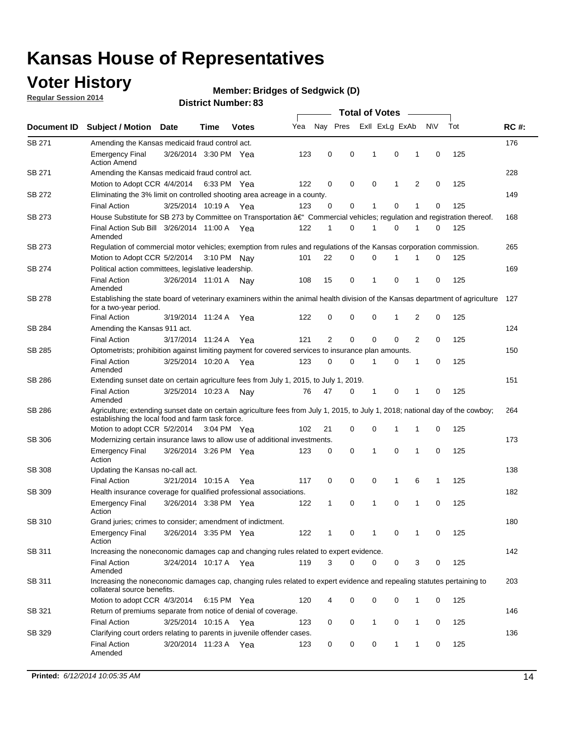### **Voter History**

**Regular Session 2014**

#### **Bridges of Sedgwick (D)**

|               |                                                                                                                                                                                    |                       |      |              | <b>Total of Votes</b> |          |   |  |                |             |                |             |     |             |
|---------------|------------------------------------------------------------------------------------------------------------------------------------------------------------------------------------|-----------------------|------|--------------|-----------------------|----------|---|--|----------------|-------------|----------------|-------------|-----|-------------|
| Document ID   | <b>Subject / Motion Date</b>                                                                                                                                                       |                       | Time | <b>Votes</b> | Yea                   | Nay Pres |   |  | Exll ExLg ExAb |             |                | <b>NV</b>   | Tot | <b>RC#:</b> |
| SB 271        | Amending the Kansas medicaid fraud control act.                                                                                                                                    |                       |      |              |                       |          |   |  |                |             |                |             |     | 176         |
|               | <b>Emergency Final</b><br><b>Action Amend</b>                                                                                                                                      | 3/26/2014 3:30 PM Yea |      |              | 123                   | 0        | 0 |  | 1              | 0           | 1              | 0           | 125 |             |
| SB 271        | Amending the Kansas medicaid fraud control act.                                                                                                                                    |                       |      |              |                       |          |   |  |                |             |                |             |     | 228         |
|               | Motion to Adopt CCR 4/4/2014 6:33 PM Yea                                                                                                                                           |                       |      |              | 122                   | 0        | 0 |  | 0              | 1           | 2              | 0           | 125 |             |
| SB 272        | Eliminating the 3% limit on controlled shooting area acreage in a county.                                                                                                          |                       |      |              |                       |          |   |  |                |             |                |             |     | 149         |
|               | <b>Final Action</b>                                                                                                                                                                | 3/25/2014 10:19 A Yea |      |              | 123                   | 0        | 0 |  | 1              | 0           | 1              | 0           | 125 |             |
| SB 273        | House Substitute for SB 273 by Committee on Transportation †Commercial vehicles; regulation and registration thereof.                                                              |                       |      |              |                       |          |   |  |                |             |                |             |     | 168         |
|               | Final Action Sub Bill 3/26/2014 11:00 A Yea<br>Amended                                                                                                                             |                       |      |              | 122                   | 1        | 0 |  | -1             | 0           | 1              | 0           | 125 |             |
| SB 273        | Regulation of commercial motor vehicles; exemption from rules and regulations of the Kansas corporation commission.                                                                |                       |      |              |                       |          |   |  |                |             |                |             |     | 265         |
|               | Motion to Adopt CCR 5/2/2014 3:10 PM Nay                                                                                                                                           |                       |      |              | 101                   | 22       | 0 |  | 0              | 1           | 1              | 0           | 125 |             |
| SB 274        | Political action committees, legislative leadership.                                                                                                                               |                       |      |              |                       |          |   |  |                |             |                |             |     | 169         |
|               | <b>Final Action</b><br>Amended                                                                                                                                                     | 3/26/2014 11:01 A Nay |      |              | 108                   | 15       | 0 |  | -1             | 0           | 1              | 0           | 125 |             |
| SB 278        | Establishing the state board of veterinary examiners within the animal health division of the Kansas department of agriculture<br>for a two-year period.                           |                       |      |              |                       |          |   |  |                |             |                |             |     | 127         |
|               | <b>Final Action</b>                                                                                                                                                                | 3/19/2014 11:24 A     |      | Yea          | 122                   | 0        | 0 |  | 0              | 1           | 2              | 0           | 125 |             |
| SB 284        | Amending the Kansas 911 act.                                                                                                                                                       |                       |      |              |                       |          |   |  |                |             |                |             |     | 124         |
|               | <b>Final Action</b>                                                                                                                                                                | 3/17/2014 11:24 A     |      | Yea          | 121                   | 2        | 0 |  | 0              | $\mathbf 0$ | $\overline{2}$ | 0           | 125 |             |
| SB 285        | Optometrists; prohibition against limiting payment for covered services to insurance plan amounts.                                                                                 |                       |      |              |                       |          |   |  |                |             |                |             |     | 150         |
|               | <b>Final Action</b><br>Amended                                                                                                                                                     | 3/25/2014 10:20 A Yea |      |              | 123                   | 0        | 0 |  | $\mathbf 1$    | 0           | 1              | 0           | 125 |             |
| SB 286        | Extending sunset date on certain agriculture fees from July 1, 2015, to July 1, 2019.                                                                                              |                       |      |              |                       |          |   |  |                |             |                |             |     | 151         |
|               | <b>Final Action</b><br>Amended                                                                                                                                                     | 3/25/2014 10:23 A     |      | Nay          | 76                    | 47       | 0 |  | $\mathbf{1}$   | 0           | 1              | $\mathbf 0$ | 125 |             |
| SB 286        | Agriculture; extending sunset date on certain agriculture fees from July 1, 2015, to July 1, 2018; national day of the cowboy;<br>establishing the local food and farm task force. |                       |      |              |                       |          |   |  |                |             |                |             |     | 264         |
|               | Motion to adopt CCR 5/2/2014 3:04 PM Yea                                                                                                                                           |                       |      |              | 102                   | 21       | 0 |  | 0              | $\mathbf 1$ | 1              | 0           | 125 |             |
| SB 306        | Modernizing certain insurance laws to allow use of additional investments.                                                                                                         |                       |      |              |                       |          |   |  |                |             |                |             |     | 173         |
|               | <b>Emergency Final</b><br>Action                                                                                                                                                   | 3/26/2014 3:26 PM Yea |      |              | 123                   | 0        | 0 |  | 1              | $\mathbf 0$ | 1              | 0           | 125 |             |
| <b>SB 308</b> | Updating the Kansas no-call act.                                                                                                                                                   |                       |      |              |                       |          |   |  |                |             |                |             |     | 138         |
|               | <b>Final Action</b>                                                                                                                                                                | 3/21/2014 10:15 A     |      | Yea          | 117                   | 0        | 0 |  | 0              | 1           | 6              | 1           | 125 |             |
| SB 309        | Health insurance coverage for qualified professional associations.                                                                                                                 |                       |      |              |                       |          |   |  |                |             |                |             |     | 182         |
|               | <b>Emergency Final</b><br>Action                                                                                                                                                   | 3/26/2014 3:38 PM Yea |      |              | 122                   | 1        | 0 |  | $\mathbf{1}$   | 0           | 1              | $\mathbf 0$ | 125 |             |
| SB 310        | Grand juries; crimes to consider; amendment of indictment.                                                                                                                         |                       |      |              |                       |          |   |  |                |             |                |             |     | 180         |
|               | <b>Emergency Final</b><br>Action                                                                                                                                                   | 3/26/2014 3:35 PM Yea |      |              | 122                   | 1        | 0 |  | 1              | 0           | 1              | 0           | 125 |             |
| SB 311        | Increasing the noneconomic damages cap and changing rules related to expert evidence.                                                                                              |                       |      |              |                       |          |   |  |                |             |                |             |     | 142         |
|               | <b>Final Action</b><br>Amended                                                                                                                                                     | 3/24/2014 10:17 A Yea |      |              | 119                   | 3        | 0 |  | 0              | 0           | 3              | 0           | 125 |             |
| SB 311        | Increasing the noneconomic damages cap, changing rules related to expert evidence and repealing statutes pertaining to<br>collateral source benefits.                              |                       |      |              |                       |          |   |  |                |             |                |             |     | 203         |
|               | Motion to adopt CCR 4/3/2014 6:15 PM Yea                                                                                                                                           |                       |      |              | 120                   | 4        | 0 |  | 0              | 0           | 1              | 0           | 125 |             |
| SB 321        | Return of premiums separate from notice of denial of coverage.                                                                                                                     |                       |      |              |                       |          |   |  |                |             |                |             |     | 146         |
|               | <b>Final Action</b>                                                                                                                                                                | 3/25/2014 10:15 A Yea |      |              | 123                   | 0        | 0 |  | 1              | 0           | 1              | 0           | 125 |             |
| SB 329        | Clarifying court orders relating to parents in juvenile offender cases.<br><b>Final Action</b><br>Amended                                                                          | 3/20/2014 11:23 A Yea |      |              | 123                   | 0        | 0 |  | 0              | 1           | 1              | 0           | 125 | 136         |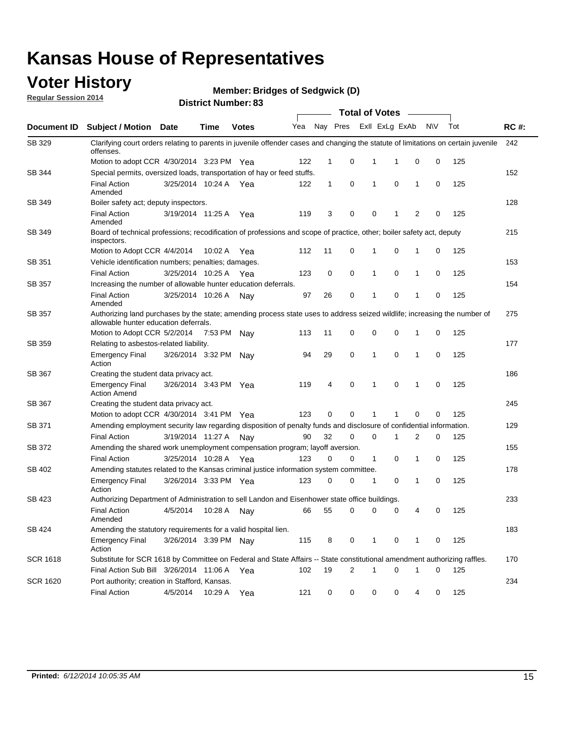### **Voter History**

**Regular Session 2014**

**Bridges of Sedgwick (D)**

|                 |                                                                                                                                                                    |                       |             |              |     |              |                | <b>Total of Votes</b> |                |              |     |     |             |
|-----------------|--------------------------------------------------------------------------------------------------------------------------------------------------------------------|-----------------------|-------------|--------------|-----|--------------|----------------|-----------------------|----------------|--------------|-----|-----|-------------|
| Document ID     | <b>Subject / Motion</b>                                                                                                                                            | Date                  | <b>Time</b> | <b>Votes</b> | Yea | Nay Pres     |                |                       | Exll ExLg ExAb |              | N\V | Tot | <b>RC#:</b> |
| SB 329          | Clarifying court orders relating to parents in juvenile offender cases and changing the statute of limitations on certain juvenile<br>offenses.                    |                       |             |              |     |              |                |                       |                |              |     |     | 242         |
|                 | Motion to adopt CCR 4/30/2014 3:23 PM Yea                                                                                                                          |                       |             |              | 122 | 1            | 0              | 1                     | 1              | 0            | 0   | 125 |             |
| SB 344          | Special permits, oversized loads, transportation of hay or feed stuffs.                                                                                            |                       |             |              |     |              |                |                       |                |              |     |     | 152         |
|                 | <b>Final Action</b><br>Amended                                                                                                                                     | 3/25/2014 10:24 A     |             | Yea          | 122 | $\mathbf{1}$ | 0              | 1                     | 0              | 1            | 0   | 125 |             |
| SB 349          | Boiler safety act; deputy inspectors.                                                                                                                              |                       |             |              |     |              |                |                       |                |              |     |     | 128         |
|                 | <b>Final Action</b><br>Amended                                                                                                                                     | 3/19/2014 11:25 A     |             | Yea          | 119 | 3            | 0              | 0                     | 1              | 2            | 0   | 125 |             |
| SB 349          | Board of technical professions; recodification of professions and scope of practice, other; boiler safety act, deputy<br>inspectors.                               |                       |             |              |     |              |                |                       |                |              |     |     | 215         |
|                 | Motion to Adopt CCR 4/4/2014                                                                                                                                       |                       | 10:02 A     | Yea          | 112 | 11           | 0              | 1                     | $\mathbf 0$    | $\mathbf{1}$ | 0   | 125 |             |
| SB 351          | Vehicle identification numbers; penalties; damages.                                                                                                                |                       |             |              |     |              |                |                       |                |              |     |     | 153         |
|                 | <b>Final Action</b>                                                                                                                                                | 3/25/2014 10:25 A     |             | Yea          | 123 | 0            | 0              | 1                     | $\mathbf 0$    | 1            | 0   | 125 |             |
| SB 357          | Increasing the number of allowable hunter education deferrals.                                                                                                     |                       |             |              |     |              |                |                       |                |              |     |     | 154         |
|                 | <b>Final Action</b><br>Amended                                                                                                                                     | 3/25/2014 10:26 A     |             | Nav          | 97  | 26           | 0              | 1                     | $\mathbf 0$    | 1            | 0   | 125 |             |
| SB 357          | Authorizing land purchases by the state; amending process state uses to address seized wildlife; increasing the number of<br>allowable hunter education deferrals. |                       |             |              |     |              |                |                       |                |              |     |     | 275         |
|                 | Motion to Adopt CCR 5/2/2014 7:53 PM Nay                                                                                                                           |                       |             |              | 113 | 11           | 0              | 0                     | 0              | 1            | 0   | 125 |             |
| SB 359          | Relating to asbestos-related liability.                                                                                                                            |                       |             |              |     |              |                |                       |                |              |     |     | 177         |
|                 | <b>Emergency Final</b><br>Action                                                                                                                                   | 3/26/2014 3:32 PM     |             | Nav          | 94  | 29           | 0              | 1                     | $\mathbf 0$    | 1            | 0   | 125 |             |
| SB 367          | Creating the student data privacy act.                                                                                                                             |                       |             |              |     |              |                |                       |                |              |     |     | 186         |
|                 | <b>Emergency Final</b><br><b>Action Amend</b>                                                                                                                      | 3/26/2014 3:43 PM Yea |             |              | 119 | 4            | 0              | 1                     | $\mathbf 0$    | $\mathbf{1}$ | 0   | 125 |             |
| SB 367          | Creating the student data privacy act.                                                                                                                             |                       |             |              |     |              |                |                       |                |              |     |     | 245         |
|                 | Motion to adopt CCR 4/30/2014 3:41 PM Yea                                                                                                                          |                       |             |              | 123 | 0            | 0              | 1                     | 1              | $\mathbf 0$  | 0   | 125 |             |
| SB 371          | Amending employment security law regarding disposition of penalty funds and disclosure of confidential information.                                                |                       |             |              |     |              |                |                       |                |              |     |     | 129         |
|                 | <b>Final Action</b>                                                                                                                                                | 3/19/2014 11:27 A Nay |             |              | 90  | 32           | 0              | 0                     | 1              | 2            | 0   | 125 |             |
| SB 372          | Amending the shared work unemployment compensation program; layoff aversion.                                                                                       |                       |             |              |     |              |                |                       |                |              |     |     | 155         |
|                 | <b>Final Action</b>                                                                                                                                                | 3/25/2014 10:28 A     |             | Yea          | 123 | 0            | 0              | $\mathbf{1}$          | $\mathbf 0$    | 1            | 0   | 125 |             |
| SB 402          | Amending statutes related to the Kansas criminal justice information system committee.                                                                             |                       |             |              |     |              |                |                       |                |              |     |     | 178         |
|                 | <b>Emergency Final</b><br>Action                                                                                                                                   | 3/26/2014 3:33 PM Yea |             |              | 123 | 0            | 0              | 1                     | 0              | 1            | 0   | 125 |             |
| SB 423          | Authorizing Department of Administration to sell Landon and Eisenhower state office buildings.                                                                     |                       |             |              |     |              |                |                       |                |              |     |     | 233         |
|                 | <b>Final Action</b><br>Amended                                                                                                                                     | 4/5/2014              | 10:28 A     | Nav          | 66  | 55           | 0              | 0                     | 0              | 4            | 0   | 125 |             |
| SB 424          | Amending the statutory requirements for a valid hospital lien.                                                                                                     |                       |             |              |     |              |                |                       |                |              |     |     | 183         |
|                 | <b>Emergency Final</b><br>Action                                                                                                                                   | 3/26/2014 3:39 PM Nav |             |              | 115 | 8            | 0              | 1                     | 0              | 1            | 0   | 125 |             |
| <b>SCR 1618</b> | Substitute for SCR 1618 by Committee on Federal and State Affairs -- State constitutional amendment authorizing raffles.                                           |                       |             |              |     |              |                |                       |                |              |     |     | 170         |
|                 | Final Action Sub Bill 3/26/2014 11:06 A Yea                                                                                                                        |                       |             |              | 102 | 19           | $\overline{2}$ | 1                     | $\mathbf 0$    | $\mathbf{1}$ | 0   | 125 |             |
| <b>SCR 1620</b> | Port authority; creation in Stafford, Kansas.                                                                                                                      |                       |             |              |     |              |                |                       |                |              |     |     | 234         |
|                 | <b>Final Action</b>                                                                                                                                                | 4/5/2014              | 10:29 A Yea |              | 121 | 0            | 0              | 0                     | 0              | 4            | 0   | 125 |             |